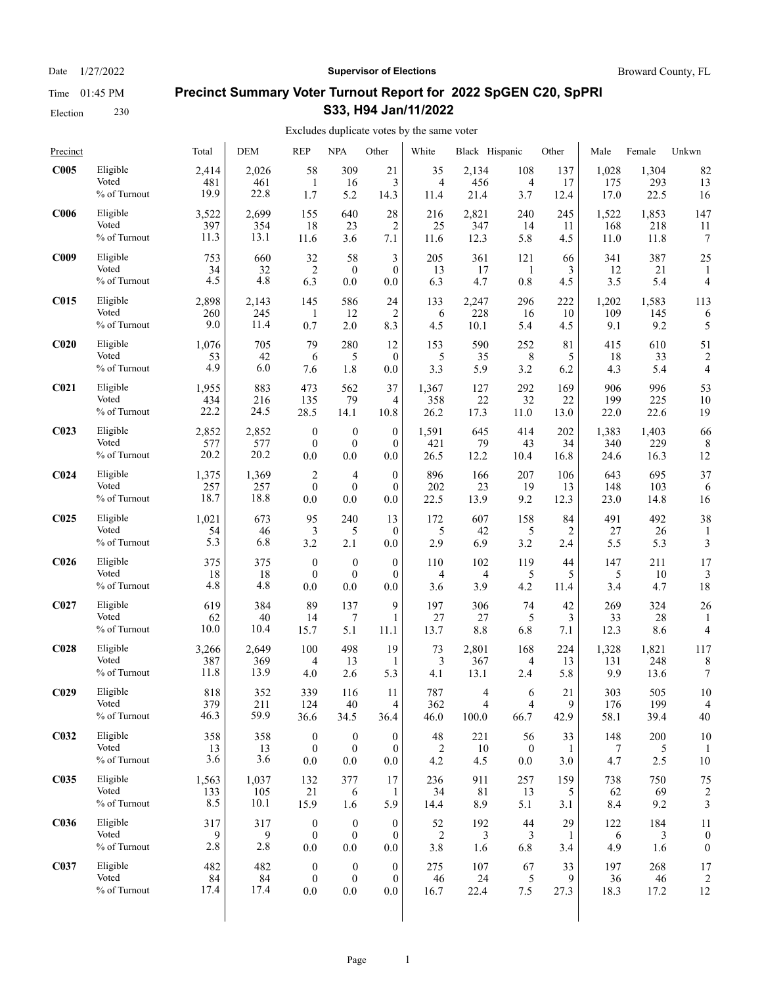Election 230

### Date  $1/27/2022$  **Supervisor of Elections** Broward County, FL

# **Precinct Summary Voter Turnout Report for 2022 SpGEN C20, SpPRI S33, H94 Jan/11/2022**

#### Excludes duplicate votes by the same voter  $\overline{1}$

| Precinct         |              | Total | <b>DEM</b> | <b>REP</b>       | <b>NPA</b>       | Other            | White          | Black Hispanic |                         | Other | Male  | Female | Unkwn                   |
|------------------|--------------|-------|------------|------------------|------------------|------------------|----------------|----------------|-------------------------|-------|-------|--------|-------------------------|
| C005             | Eligible     | 2,414 | 2,026      | 58               | 309              | 21               | 35             | 2,134          | 108                     | 137   | 1,028 | 1,304  | 82                      |
|                  | Voted        | 481   | 461        | -1               | 16               | 3                | 4              | 456            | 4                       | 17    | 175   | 293    | 13                      |
|                  | % of Turnout | 19.9  | 22.8       | 1.7              | 5.2              | 14.3             | 11.4           | 21.4           | 3.7                     | 12.4  | 17.0  | 22.5   | 16                      |
| C <sub>006</sub> | Eligible     | 3,522 | 2,699      | 155              | 640              | 28               | 216            | 2,821          | 240                     | 245   | 1,522 | 1,853  | 147                     |
|                  | Voted        | 397   | 354        | 18               | 23               | $\overline{c}$   | 25             | 347            | 14                      | 11    | 168   | 218    | 11                      |
|                  | % of Turnout | 11.3  | 13.1       | 11.6             | 3.6              | 7.1              | 11.6           | 12.3           | 5.8                     | 4.5   | 11.0  | 11.8   | 7                       |
| C <sub>009</sub> | Eligible     | 753   | 660        | 32               | 58               | 3                | 205            | 361            | 121                     | 66    | 341   | 387    | 25                      |
|                  | Voted        | 34    | 32         | $\overline{2}$   | $\boldsymbol{0}$ | $\theta$         | 13             | 17             | 1                       | 3     | 12    | 21     | 1                       |
|                  | % of Turnout | 4.5   | 4.8        | 6.3              | 0.0              | 0.0              | 6.3            | 4.7            | 0.8                     | 4.5   | 3.5   | 5.4    | 4                       |
| <b>C015</b>      | Eligible     | 2,898 | 2.143      | 145              | 586              | 24               | 133            | 2,247          | 296                     | 222   | 1,202 | 1,583  | 113                     |
|                  | Voted        | 260   | 245        | 1                | 12               | $\overline{2}$   | 6              | 228            | 16                      | 10    | 109   | 145    | 6                       |
|                  | % of Turnout | 9.0   | 11.4       | 0.7              | 2.0              | 8.3              | 4.5            | 10.1           | 5.4                     | 4.5   | 9.1   | 9.2    | 5                       |
| C <sub>020</sub> | Eligible     | 1,076 | 705        | 79               | 280              | 12               | 153            | 590            | 252                     | 81    | 415   | 610    | 51                      |
|                  | Voted        | 53    | 42         | 6                | 5                | $\theta$         | 5              | 35             | 8                       | 5     | 18    | 33     | $\overline{c}$          |
|                  | % of Turnout | 4.9   | 6.0        | 7.6              | 1.8              | 0.0              | 3.3            | 5.9            | 3.2                     | 6.2   | 4.3   | 5.4    | 4                       |
| C <sub>021</sub> | Eligible     | 1,955 | 883        | 473              | 562              | 37               | 1,367          | 127            | 292                     | 169   | 906   | 996    | 53                      |
|                  | Voted        | 434   | 216        | 135              | 79               | 4                | 358            | 22             | 32                      | 22    | 199   | 225    | 10                      |
|                  | % of Turnout | 22.2  | 24.5       | 28.5             | 14.1             | 10.8             | 26.2           | 17.3           | 11.0                    | 13.0  | 22.0  | 22.6   | 19                      |
| C <sub>023</sub> | Eligible     | 2,852 | 2,852      | $\boldsymbol{0}$ | $\boldsymbol{0}$ | $\mathbf{0}$     | 1,591          | 645            | 414                     | 202   | 1,383 | 1,403  | 66                      |
|                  | Voted        | 577   | 577        | $\mathbf{0}$     | $\mathbf{0}$     | $\theta$         | 421            | 79             | 43                      | 34    | 340   | 229    | 8                       |
|                  | % of Turnout | 20.2  | 20.2       | 0.0              | 0.0              | 0.0              | 26.5           | 12.2           | 10.4                    | 16.8  | 24.6  | 16.3   | 12                      |
| C <sub>024</sub> | Eligible     | 1,375 | 1,369      | $\overline{c}$   | 4                | $\mathbf{0}$     | 896            | 166            | 207                     | 106   | 643   | 695    | 37                      |
|                  | Voted        | 257   | 257        | $\theta$         | $\boldsymbol{0}$ | $\mathbf{0}$     | 202            | 23             | 19                      | 13    | 148   | 103    | 6                       |
|                  | % of Turnout | 18.7  | 18.8       | 0.0              | 0.0              | 0.0              | 22.5           | 13.9           | 9.2                     | 12.3  | 23.0  | 14.8   | 16                      |
| C <sub>025</sub> | Eligible     | 1,021 | 673        | 95               | 240              | 13               | 172            | 607            | 158                     | 84    | 491   | 492    | 38                      |
|                  | Voted        | 54    | 46         | 3                | 5                | $\mathbf{0}$     | 5              | 42             | 5                       | 2     | 27    | 26     | 1                       |
|                  | % of Turnout | 5.3   | 6.8        | 3.2              | 2.1              | 0.0              | 2.9            | 6.9            | 3.2                     | 2.4   | 5.5   | 5.3    | 3                       |
| C <sub>026</sub> | Eligible     | 375   | 375        | $\boldsymbol{0}$ | $\boldsymbol{0}$ | $\boldsymbol{0}$ | 110            | 102            | 119                     | 44    | 147   | 211    | 17                      |
|                  | Voted        | 18    | 18         | $\mathbf{0}$     | $\boldsymbol{0}$ | $\boldsymbol{0}$ | 4              | 4              | 5                       | 5     | 5     | 10     | 3                       |
|                  | % of Turnout | 4.8   | 4.8        | 0.0              | 0.0              | 0.0              | 3.6            | 3.9            | 4.2                     | 11.4  | 3.4   | 4.7    | 18                      |
| C <sub>027</sub> | Eligible     | 619   | 384        | 89               | 137              | 9                | 197            | 306            | 74                      | 42    | 269   | 324    | 26                      |
|                  | Voted        | 62    | 40         | 14               | 7                | 1                | 27             | 27             | 5                       | 3     | 33    | 28     | 1                       |
|                  | % of Turnout | 10.0  | 10.4       | 15.7             | 5.1              | 11.1             | 13.7           | 8.8            | 6.8                     | 7.1   | 12.3  | 8.6    | 4                       |
| C <sub>028</sub> | Eligible     | 3,266 | 2,649      | 100              | 498              | 19               | 73             | 2,801          | 168                     | 224   | 1,328 | 1,821  | 117                     |
|                  | Voted        | 387   | 369        | $\overline{4}$   | 13               | 1                | 3              | 367            | 4                       | 13    | 131   | 248    | 8                       |
|                  | % of Turnout | 11.8  | 13.9       | 4.0              | 2.6              | 5.3              | 4.1            | 13.1           | 2.4                     | 5.8   | 9.9   | 13.6   | 7                       |
| C <sub>029</sub> | Eligible     | 818   | 352        | 339              | 116              | 11               | 787            | 4              | 6                       | 21    | 303   | 505    | 10                      |
|                  | Voted        | 379   | 211        | 124              | 40               | 4                | 362            | $\overline{4}$ | $\overline{\mathbf{4}}$ | 9     | 176   | 199    | $\overline{4}$          |
|                  | % of Turnout | 46.3  | 59.9       | 36.6             | 34.5             | 36.4             | 46.0           | 100.0          | 66.7                    | 42.9  | 58.1  | 39.4   | 40                      |
| C <sub>032</sub> | Eligible     | 358   | 358        | $\boldsymbol{0}$ | $\boldsymbol{0}$ | $\mathbf{0}$     | 48             | 221            | 56                      | 33    | 148   | 200    | 10                      |
|                  | Voted        | 13    | 13         | $\boldsymbol{0}$ | $\boldsymbol{0}$ | $\mathbf{0}$     | $\overline{c}$ | 10             | $\boldsymbol{0}$        | 1     | 7     | 5      | 1                       |
|                  | % of Turnout | 3.6   | 3.6        | 0.0              | 0.0              | 0.0              | 4.2            | 4.5            | 0.0                     | 3.0   | 4.7   | 2.5    | 10                      |
| <b>C035</b>      | Eligible     | 1,563 | 1,037      | 132              | 377              | 17               | 236            | 911            | 257                     | 159   | 738   | 750    | 75                      |
|                  | Voted        | 133   | 105        | 21               | 6                | -1               | 34             | 81             | 13                      | 5     | 62    | 69     | $\overline{\mathbf{c}}$ |
|                  | % of Turnout | 8.5   | 10.1       | 15.9             | 1.6              | 5.9              | 14.4           | 8.9            | 5.1                     | 3.1   | 8.4   | 9.2    | 3                       |
| <b>C036</b>      | Eligible     | 317   | 317        | $\boldsymbol{0}$ | $\boldsymbol{0}$ | $\boldsymbol{0}$ | 52             | 192            | 44                      | 29    | 122   | 184    | 11                      |
|                  | Voted        | 9     | 9          | $\boldsymbol{0}$ | $\boldsymbol{0}$ | $\mathbf{0}$     | 2              | 3              | 3                       | 1     | 6     | 3      | $\boldsymbol{0}$        |
|                  | % of Turnout | 2.8   | 2.8        | $0.0\,$          | 0.0              | 0.0              | 3.8            | 1.6            | 6.8                     | 3.4   | 4.9   | 1.6    | $\boldsymbol{0}$        |
| C037             | Eligible     | 482   | 482        | $\boldsymbol{0}$ | $\boldsymbol{0}$ | $\boldsymbol{0}$ | 275            | 107            | 67                      | 33    | 197   | 268    | 17                      |
|                  | Voted        | 84    | 84         | $\mathbf{0}$     | $\boldsymbol{0}$ | $\mathbf{0}$     | 46             | 24             | 5                       | 9     | 36    | 46     | 2                       |
|                  | % of Turnout | 17.4  | 17.4       | $0.0\,$          | 0.0              | 0.0              | 16.7           | 22.4           | 7.5                     | 27.3  | 18.3  | 17.2   | 12                      |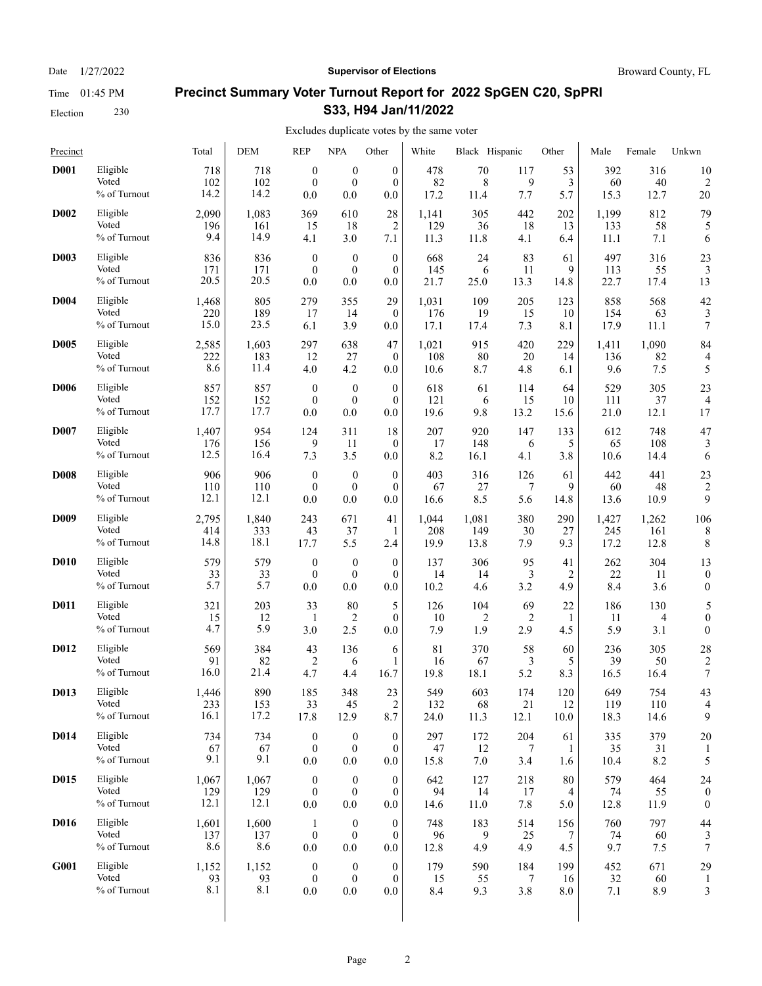Election 230

### Date  $1/27/2022$  **Supervisor of Elections** Broward County, FL

# **Precinct Summary Voter Turnout Report for 2022 SpGEN C20, SpPRI S33, H94 Jan/11/2022**

| Precinct    |                                   | Total              | <b>DEM</b>         | <b>REP</b>                          | <b>NPA</b>                                  | Other                                   | White            | Black Hispanic   |                 | Other            | Male             | Female           | Unkwn            |
|-------------|-----------------------------------|--------------------|--------------------|-------------------------------------|---------------------------------------------|-----------------------------------------|------------------|------------------|-----------------|------------------|------------------|------------------|------------------|
| <b>D001</b> | Eligible                          | 718                | 718                | $\boldsymbol{0}$                    | $\boldsymbol{0}$                            | $\mathbf{0}$                            | 478              | 70               | 117             | 53               | 392              | 316              | 10               |
|             | Voted                             | 102                | 102                | $\mathbf{0}$                        | $\boldsymbol{0}$                            | $\Omega$                                | 82               | 8                | 9               | 3                | 60               | 40               | $\overline{2}$   |
|             | % of Turnout                      | 14.2               | 14.2               | 0.0                                 | 0.0                                         | 0.0                                     | 17.2             | 11.4             | 7.7             | 5.7              | 15.3             | 12.7             | 20               |
| <b>D002</b> | Eligible                          | 2,090              | 1,083              | 369                                 | 610                                         | 28                                      | 1,141            | 305              | 442             | 202              | 1,199            | 812              | 79               |
|             | Voted                             | 196                | 161                | 15                                  | 18                                          | $\overline{2}$                          | 129              | 36               | 18              | 13               | 133              | 58               | 5                |
|             | % of Turnout                      | 9.4                | 14.9               | 4.1                                 | 3.0                                         | 7.1                                     | 11.3             | 11.8             | 4.1             | 6.4              | 11.1             | 7.1              | 6                |
| <b>D003</b> | Eligible                          | 836                | 836                | $\boldsymbol{0}$                    | $\boldsymbol{0}$                            | $\boldsymbol{0}$                        | 668              | 24               | 83              | 61               | 497              | 316              | 23               |
|             | Voted                             | 171                | 171                | $\mathbf{0}$                        | $\boldsymbol{0}$                            | $\theta$                                | 145              | 6                | 11              | 9                | 113              | 55               | 3                |
|             | % of Turnout                      | 20.5               | 20.5               | 0.0                                 | 0.0                                         | 0.0                                     | 21.7             | 25.0             | 13.3            | 14.8             | 22.7             | 17.4             | 13               |
| <b>D004</b> | Eligible                          | 1,468              | 805                | 279                                 | 355                                         | 29                                      | 1,031            | 109              | 205             | 123              | 858              | 568              | 42               |
|             | Voted                             | 220                | 189                | 17                                  | 14                                          | $\theta$                                | 176              | 19               | 15              | 10               | 154              | 63               | 3                |
|             | % of Turnout                      | 15.0               | 23.5               | 6.1                                 | 3.9                                         | 0.0                                     | 17.1             | 17.4             | 7.3             | 8.1              | 17.9             | 11.1             | 7                |
| <b>D005</b> | Eligible                          | 2,585              | 1,603              | 297                                 | 638                                         | 47                                      | 1,021            | 915              | 420             | 229              | 1,411            | 1,090            | 84               |
|             | Voted                             | 222                | 183                | 12                                  | 27                                          | $\mathbf{0}$                            | 108              | 80               | 20              | 14               | 136              | 82               | 4                |
|             | % of Turnout                      | 8.6                | 11.4               | 4.0                                 | 4.2                                         | 0.0                                     | 10.6             | 8.7              | 4.8             | 6.1              | 9.6              | 7.5              | 5                |
| <b>D006</b> | Eligible                          | 857                | 857                | $\boldsymbol{0}$                    | $\boldsymbol{0}$                            | $\theta$                                | 618              | 61               | 114             | 64               | 529              | 305              | 23               |
|             | Voted                             | 152                | 152                | $\mathbf{0}$                        | $\boldsymbol{0}$                            | $\mathbf{0}$                            | 121              | 6                | 15              | 10               | 111              | 37               | $\overline{4}$   |
|             | % of Turnout                      | 17.7               | 17.7               | 0.0                                 | 0.0                                         | 0.0                                     | 19.6             | 9.8              | 13.2            | 15.6             | 21.0             | 12.1             | 17               |
| <b>D007</b> | Eligible                          | 1,407              | 954                | 124                                 | 311                                         | 18                                      | 207              | 920              | 147             | 133              | 612              | 748              | 47               |
|             | Voted                             | 176                | 156                | 9                                   | 11                                          | $\mathbf{0}$                            | 17               | 148              | 6               | 5                | 65               | 108              | 3                |
|             | % of Turnout                      | 12.5               | 16.4               | 7.3                                 | 3.5                                         | 0.0                                     | 8.2              | 16.1             | 4.1             | 3.8              | 10.6             | 14.4             | 6                |
| <b>D008</b> | Eligible                          | 906                | 906                | $\boldsymbol{0}$                    | $\boldsymbol{0}$                            | $\mathbf{0}$                            | 403              | 316              | 126             | 61               | 442              | 441              | 23               |
|             | Voted                             | 110                | 110                | $\boldsymbol{0}$                    | $\boldsymbol{0}$                            | $\theta$                                | 67               | 27               | 7               | 9                | 60               | 48               | $\overline{c}$   |
|             | % of Turnout                      | 12.1               | 12.1               | 0.0                                 | 0.0                                         | 0.0                                     | 16.6             | 8.5              | 5.6             | 14.8             | 13.6             | 10.9             | 9                |
| <b>D009</b> | Eligible                          | 2,795              | 1,840              | 243                                 | 671                                         | 41                                      | 1,044            | 1,081            | 380             | 290              | 1,427            | 1,262            | 106              |
|             | Voted                             | 414                | 333                | 43                                  | 37                                          | 1                                       | 208              | 149              | 30              | 27               | 245              | 161              | 8                |
|             | % of Turnout                      | 14.8               | 18.1               | 17.7                                | 5.5                                         | 2.4                                     | 19.9             | 13.8             | 7.9             | 9.3              | 17.2             | 12.8             | 8                |
| <b>D010</b> | Eligible                          | 579                | 579                | $\boldsymbol{0}$                    | $\boldsymbol{0}$                            | $\theta$                                | 137              | 306              | 95              | 41               | 262              | 304              | 13               |
|             | Voted                             | 33                 | 33                 | $\mathbf{0}$                        | $\mathbf{0}$                                | $\mathbf{0}$                            | 14               | 14               | 3               | 2                | 22               | 11               | $\boldsymbol{0}$ |
|             | % of Turnout                      | 5.7                | 5.7                | 0.0                                 | 0.0                                         | 0.0                                     | 10.2             | 4.6              | 3.2             | 4.9              | 8.4              | 3.6              | $\mathbf{0}$     |
| <b>D011</b> | Eligible                          | 321                | 203                | 33                                  | 80                                          | 5                                       | 126              | 104              | 69              | 22               | 186              | 130              | 5                |
|             | Voted                             | 15                 | 12                 | -1                                  | $\overline{c}$                              | $\mathbf{0}$                            | 10               | 2                | 2               | 1                | 11               | 4                | $\boldsymbol{0}$ |
|             | % of Turnout                      | 4.7                | 5.9                | 3.0                                 | 2.5                                         | 0.0                                     | 7.9              | 1.9              | 2.9             | 4.5              | 5.9              | 3.1              | $\mathbf{0}$     |
| <b>D012</b> | Eligible                          | 569                | 384                | 43                                  | 136                                         | 6                                       | 81               | 370              | 58              | 60               | 236              | 305              | 28               |
|             | Voted                             | 91                 | 82                 | $\overline{2}$                      | 6                                           | 1                                       | 16               | 67               | 3               | 5                | 39               | 50               | $\overline{2}$   |
|             | % of Turnout                      | 16.0               | 21.4               | 4.7                                 | 4.4                                         | 16.7                                    | 19.8             | 18.1             | 5.2             | 8.3              | 16.5             | 16.4             | 7                |
| D013        | Eligible                          | 1.446              | 890                | 185                                 | 348                                         | 23                                      | 549              | 603              | 174             | 120              | 649              | 754              | 43               |
|             | Voted                             | 233                | 153                | 33                                  | 45                                          | $\overline{c}$                          | 132              | 68               | $21\,$          | 12               | 119              | 110              | 4                |
|             | % of Turnout                      | 16.1               | 17.2               | 17.8                                | 12.9                                        | 8.7                                     | 24.0             | 11.3             | 12.1            | 10.0             | 18.3             | 14.6             | 9                |
| <b>D014</b> | Eligible                          | 734                | 734                | $\boldsymbol{0}$                    | $\boldsymbol{0}$                            | $\boldsymbol{0}$                        | 297              | 172              | 204             | 61               | 335              | 379              | 20               |
|             | Voted                             | 67                 | 67                 | $\boldsymbol{0}$                    | $\boldsymbol{0}$                            | $\mathbf{0}$                            | 47               | 12               | 7               | 1                | 35               | 31               | $\mathbf{1}$     |
|             | % of Turnout                      | 9.1                | 9.1                | 0.0                                 | 0.0                                         | 0.0                                     | 15.8             | 7.0              | 3.4             | 1.6              | 10.4             | 8.2              | 5                |
| <b>D015</b> | Eligible                          | 1,067              | 1,067              | $\boldsymbol{0}$                    | $\boldsymbol{0}$                            | $\boldsymbol{0}$                        | 642              | 127              | 218             | 80               | 579              | 464              | 24               |
|             | Voted                             | 129                | 129                | $\boldsymbol{0}$                    | $\boldsymbol{0}$                            | $\mathbf{0}$                            | 94               | 14               | 17              | 4                | 74               | 55               | $\boldsymbol{0}$ |
|             | % of Turnout                      | 12.1               | 12.1               | $0.0\,$                             | 0.0                                         | 0.0                                     | 14.6             | 11.0             | 7.8             | 5.0              | 12.8             | 11.9             | $\mathbf{0}$     |
| <b>D016</b> | Eligible                          | 1,601              | 1,600              | -1                                  | $\boldsymbol{0}$                            | $\boldsymbol{0}$                        | 748              | 183              | 514             | 156              | 760              | 797              | 44               |
|             | Voted                             | 137                | 137                | $\boldsymbol{0}$                    | $\boldsymbol{0}$                            | $\boldsymbol{0}$                        | 96               | 9                | 25              | 7                | 74               | 60               | 3                |
|             | % of Turnout                      | 8.6                | 8.6                | $0.0\,$                             | 0.0                                         | 0.0                                     | 12.8             | 4.9              | 4.9             | 4.5              | 9.7              | 7.5              | 7                |
| <b>G001</b> | Eligible<br>Voted<br>% of Turnout | 1,152<br>93<br>8.1 | 1,152<br>93<br>8.1 | $\boldsymbol{0}$<br>$\bf{0}$<br>0.0 | $\boldsymbol{0}$<br>$\boldsymbol{0}$<br>0.0 | $\boldsymbol{0}$<br>$\mathbf{0}$<br>0.0 | 179<br>15<br>8.4 | 590<br>55<br>9.3 | 184<br>7<br>3.8 | 199<br>16<br>8.0 | 452<br>32<br>7.1 | 671<br>60<br>8.9 | 29<br>3          |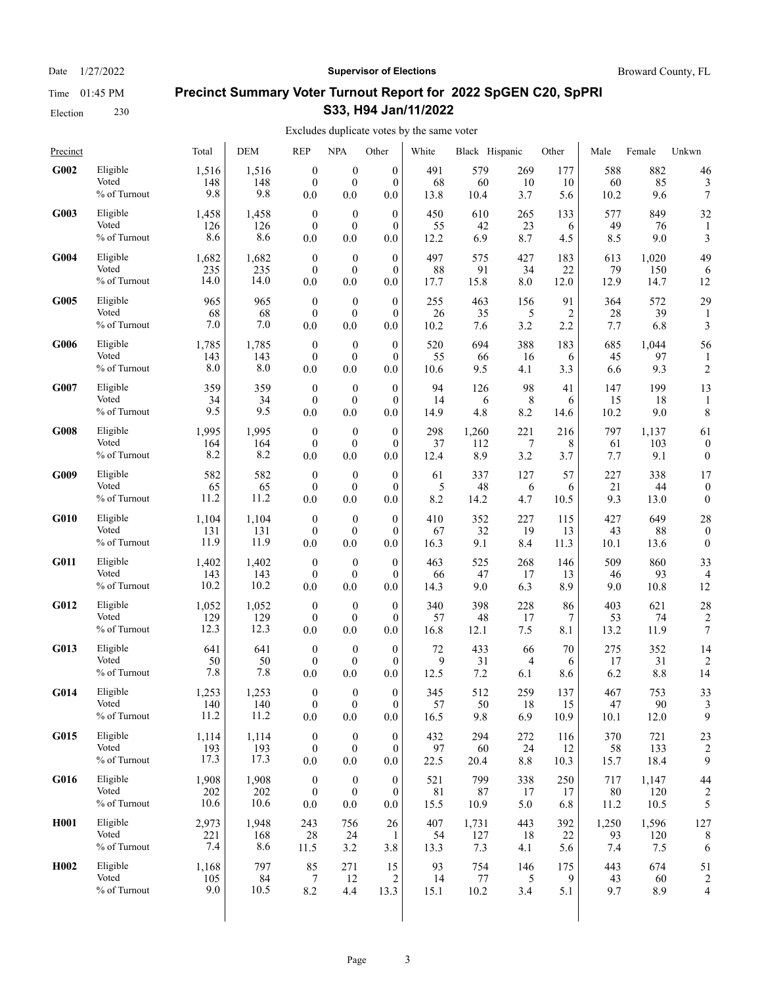### Date  $1/27/2022$  **Supervisor of Elections** Broward County, FL

# **Precinct Summary Voter Turnout Report for 2022 SpGEN C20, SpPRI S33, H94 Jan/11/2022**

| Precinct          |                                   | Total               | <b>DEM</b>          | <b>REP</b>                              | <b>NPA</b>                                  | Other                               | White             | Black Hispanic   |                  | Other           | Male              | Female             | Unkwn                |
|-------------------|-----------------------------------|---------------------|---------------------|-----------------------------------------|---------------------------------------------|-------------------------------------|-------------------|------------------|------------------|-----------------|-------------------|--------------------|----------------------|
| G002              | Eligible                          | 1,516               | 1,516               | $\boldsymbol{0}$                        | $\boldsymbol{0}$                            | $\boldsymbol{0}$                    | 491               | 579              | 269              | 177             | 588               | 882                | 46                   |
|                   | Voted                             | 148                 | 148                 | $\mathbf{0}$                            | $\mathbf{0}$                                | $\mathbf{0}$                        | 68                | 60               | 10               | 10              | 60                | 85                 | 3                    |
|                   | % of Turnout                      | 9.8                 | 9.8                 | 0.0                                     | 0.0                                         | 0.0                                 | 13.8              | 10.4             | 3.7              | 5.6             | 10.2              | 9.6                | 7                    |
| G003              | Eligible                          | 1,458               | 1,458               | $\boldsymbol{0}$                        | $\boldsymbol{0}$                            | $\overline{0}$                      | 450               | 610              | 265              | 133             | 577               | 849                | 32                   |
|                   | Voted                             | 126                 | 126                 | $\mathbf{0}$                            | $\boldsymbol{0}$                            | $\mathbf{0}$                        | 55                | 42               | 23               | 6               | 49                | 76                 | 1                    |
|                   | % of Turnout                      | 8.6                 | 8.6                 | 0.0                                     | 0.0                                         | 0.0                                 | 12.2              | 6.9              | 8.7              | 4.5             | 8.5               | 9.0                | 3                    |
| G004              | Eligible                          | 1,682               | 1,682               | $\boldsymbol{0}$                        | $\boldsymbol{0}$                            | $\boldsymbol{0}$                    | 497               | 575              | 427              | 183             | 613               | 1,020              | 49                   |
|                   | Voted                             | 235                 | 235                 | $\mathbf{0}$                            | $\mathbf{0}$                                | $\mathbf{0}$                        | 88                | 91               | 34               | 22              | 79                | 150                | 6                    |
|                   | % of Turnout                      | 14.0                | 14.0                | 0.0                                     | 0.0                                         | 0.0                                 | 17.7              | 15.8             | 8.0              | 12.0            | 12.9              | 14.7               | 12                   |
| G005              | Eligible<br>Voted<br>% of Turnout | 965<br>68<br>7.0    | 965<br>68<br>7.0    | $\mathbf{0}$<br>$\mathbf{0}$<br>0.0     | $\boldsymbol{0}$<br>$\mathbf{0}$<br>0.0     | $\mathbf{0}$<br>$\mathbf{0}$<br>0.0 | 255<br>26<br>10.2 | 463<br>35<br>7.6 | 156<br>5<br>3.2  | 91<br>2<br>2.2  | 364<br>28<br>7.7  | 572<br>39<br>6.8   | 29<br>3              |
| G006              | Eligible<br>Voted<br>% of Turnout | 1,785<br>143<br>8.0 | 1,785<br>143<br>8.0 | $\mathbf{0}$<br>$\boldsymbol{0}$<br>0.0 | $\boldsymbol{0}$<br>$\boldsymbol{0}$<br>0.0 | $\mathbf{0}$<br>$\mathbf{0}$<br>0.0 | 520<br>55<br>10.6 | 694<br>66<br>9.5 | 388<br>16<br>4.1 | 183<br>6<br>3.3 | 685<br>45<br>6.6  | 1,044<br>97<br>9.3 | 56<br>$\overline{c}$ |
| G007              | Eligible<br>Voted<br>% of Turnout | 359<br>34<br>9.5    | 359<br>34<br>9.5    | $\boldsymbol{0}$<br>$\mathbf{0}$<br>0.0 | $\boldsymbol{0}$<br>$\mathbf{0}$<br>0.0     | $\mathbf{0}$<br>$\mathbf{0}$<br>0.0 | 94<br>14<br>14.9  | 126<br>6<br>4.8  | 98<br>8<br>8.2   | 41<br>6<br>14.6 | 147<br>15<br>10.2 | 199<br>18<br>9.0   | 13<br>8              |
| G008              | Eligible                          | 1,995               | 1,995               | $\boldsymbol{0}$                        | $\boldsymbol{0}$                            | $\mathbf{0}$                        | 298               | 1,260            | 221              | 216             | 797               | 1,137              | 61                   |
|                   | Voted                             | 164                 | 164                 | $\mathbf{0}$                            | $\mathbf{0}$                                | $\mathbf{0}$                        | 37                | 112              | 7                | 8               | 61                | 103                | $\boldsymbol{0}$     |
|                   | % of Turnout                      | 8.2                 | 8.2                 | 0.0                                     | 0.0                                         | 0.0                                 | 12.4              | 8.9              | 3.2              | 3.7             | 7.7               | 9.1                | $\boldsymbol{0}$     |
| G009              | Eligible                          | 582                 | 582                 | $\boldsymbol{0}$                        | $\mathbf{0}$                                | $\mathbf{0}$                        | 61                | 337              | 127              | 57              | 227               | 338                | 17                   |
|                   | Voted                             | 65                  | 65                  | $\boldsymbol{0}$                        | $\boldsymbol{0}$                            | $\mathbf{0}$                        | 5                 | 48               | 6                | 6               | 21                | 44                 | $\boldsymbol{0}$     |
|                   | % of Turnout                      | 11.2                | 11.2                | 0.0                                     | 0.0                                         | 0.0                                 | 8.2               | 14.2             | 4.7              | 10.5            | 9.3               | 13.0               | $\boldsymbol{0}$     |
| G010              | Eligible                          | 1,104               | 1,104               | $\boldsymbol{0}$                        | $\boldsymbol{0}$                            | $\boldsymbol{0}$                    | 410               | 352              | 227              | 115             | 427               | 649                | 28                   |
|                   | Voted                             | 131                 | 131                 | $\mathbf{0}$                            | $\boldsymbol{0}$                            | $\theta$                            | 67                | 32               | 19               | 13              | 43                | 88                 | $\boldsymbol{0}$     |
|                   | % of Turnout                      | 11.9                | 11.9                | 0.0                                     | 0.0                                         | 0.0                                 | 16.3              | 9.1              | 8.4              | 11.3            | 10.1              | 13.6               | $\mathbf{0}$         |
| G011              | Eligible                          | 1,402               | 1,402               | $\boldsymbol{0}$                        | $\mathbf{0}$                                | $\mathbf{0}$                        | 463               | 525              | 268              | 146             | 509               | 860                | 33                   |
|                   | Voted                             | 143                 | 143                 | $\mathbf{0}$                            | $\mathbf{0}$                                | $\mathbf{0}$                        | 66                | 47               | 17               | 13              | 46                | 93                 | 4                    |
|                   | % of Turnout                      | 10.2                | 10.2                | 0.0                                     | 0.0                                         | 0.0                                 | 14.3              | 9.0              | 6.3              | 8.9             | 9.0               | 10.8               | 12                   |
| G012              | Eligible                          | 1,052               | 1,052               | $\mathbf{0}$                            | $\boldsymbol{0}$                            | $\mathbf{0}$                        | 340               | 398              | 228              | 86              | 403               | 621                | 28                   |
|                   | Voted                             | 129                 | 129                 | $\mathbf{0}$                            | $\boldsymbol{0}$                            | $\mathbf{0}$                        | 57                | 48               | 17               | 7               | 53                | 74                 | $\overline{c}$       |
|                   | % of Turnout                      | 12.3                | 12.3                | 0.0                                     | 0.0                                         | 0.0                                 | 16.8              | 12.1             | 7.5              | 8.1             | 13.2              | 11.9               | $\boldsymbol{7}$     |
| G013              | Eligible                          | 641                 | 641                 | $\boldsymbol{0}$                        | $\boldsymbol{0}$                            | $\theta$                            | 72                | 433              | 66               | 70              | 275               | 352                | 14                   |
|                   | Voted                             | 50                  | 50                  | $\mathbf{0}$                            | $\boldsymbol{0}$                            | $\mathbf{0}$                        | 9                 | 31               | 4                | 6               | 17                | 31                 | $\overline{2}$       |
|                   | % of Turnout                      | 7.8                 | 7.8                 | 0.0                                     | 0.0                                         | 0.0                                 | 12.5              | 7.2              | 6.1              | 8.6             | 6.2               | 8.8                | 14                   |
| G014              | Eligible                          | 1,253               | 1,253               | $\theta$                                | $\overline{0}$                              | $\Omega$                            | 345               | 512              | 259              | 137             | 467               | 753                | 33                   |
|                   | Voted                             | 140                 | 140                 | $\boldsymbol{0}$                        | $\boldsymbol{0}$                            | $\boldsymbol{0}$                    | 57                | 50               | 18               | 15              | 47                | 90                 | 3                    |
|                   | % of Turnout                      | 11.2                | 11.2                | $0.0\,$                                 | $0.0\,$                                     | 0.0                                 | 16.5              | 9.8              | 6.9              | 10.9            | 10.1              | 12.0               | 9                    |
| G015              | Eligible                          | 1,114               | 1,114               | $\boldsymbol{0}$                        | $\boldsymbol{0}$                            | $\mathbf{0}$                        | 432               | 294              | 272              | 116             | 370               | 721                | 23                   |
|                   | Voted                             | 193                 | 193                 | $\boldsymbol{0}$                        | $\boldsymbol{0}$                            | $\mathbf{0}$                        | 97                | 60               | 24               | 12              | 58                | 133                | $\overline{c}$       |
|                   | % of Turnout                      | 17.3                | 17.3                | 0.0                                     | 0.0                                         | 0.0                                 | 22.5              | 20.4             | $8.8\,$          | 10.3            | 15.7              | 18.4               | 9                    |
| G016              | Eligible                          | 1,908               | 1,908               | $\boldsymbol{0}$                        | $\boldsymbol{0}$                            | $\boldsymbol{0}$                    | 521               | 799              | 338              | 250             | 717               | 1,147              | 44                   |
|                   | Voted                             | 202                 | 202                 | $\boldsymbol{0}$                        | $\boldsymbol{0}$                            | $\boldsymbol{0}$                    | 81                | 87               | 17               | 17              | $80\,$            | 120                | $\overline{c}$       |
|                   | % of Turnout                      | 10.6                | 10.6                | 0.0                                     | 0.0                                         | 0.0                                 | 15.5              | 10.9             | 5.0              | 6.8             | 11.2              | 10.5               | 5                    |
| H <sub>0</sub> 01 | Eligible                          | 2,973               | 1,948               | 243                                     | 756                                         | 26                                  | 407               | 1,731            | 443              | 392             | 1,250             | 1,596              | 127                  |
|                   | Voted                             | 221                 | 168                 | 28                                      | 24                                          | 1                                   | 54                | 127              | 18               | 22              | 93                | 120                | 8                    |
|                   | % of Turnout                      | 7.4                 | 8.6                 | 11.5                                    | 3.2                                         | 3.8                                 | 13.3              | 7.3              | 4.1              | 5.6             | 7.4               | 7.5                | 6                    |
| H <sub>0</sub> 02 | Eligible                          | 1,168               | 797                 | 85                                      | 271                                         | 15                                  | 93                | 754              | 146              | 175             | 443               | 674                | 51                   |
|                   | Voted                             | 105                 | 84                  | 7                                       | 12                                          | 2                                   | 14                | 77               | 5                | 9               | 43                | 60                 | $\overline{c}$       |
|                   | % of Turnout                      | 9.0                 | 10.5                | 8.2                                     | 4.4                                         | 13.3                                | 15.1              | 10.2             | 3.4              | 5.1             | 9.7               | 8.9                | 4                    |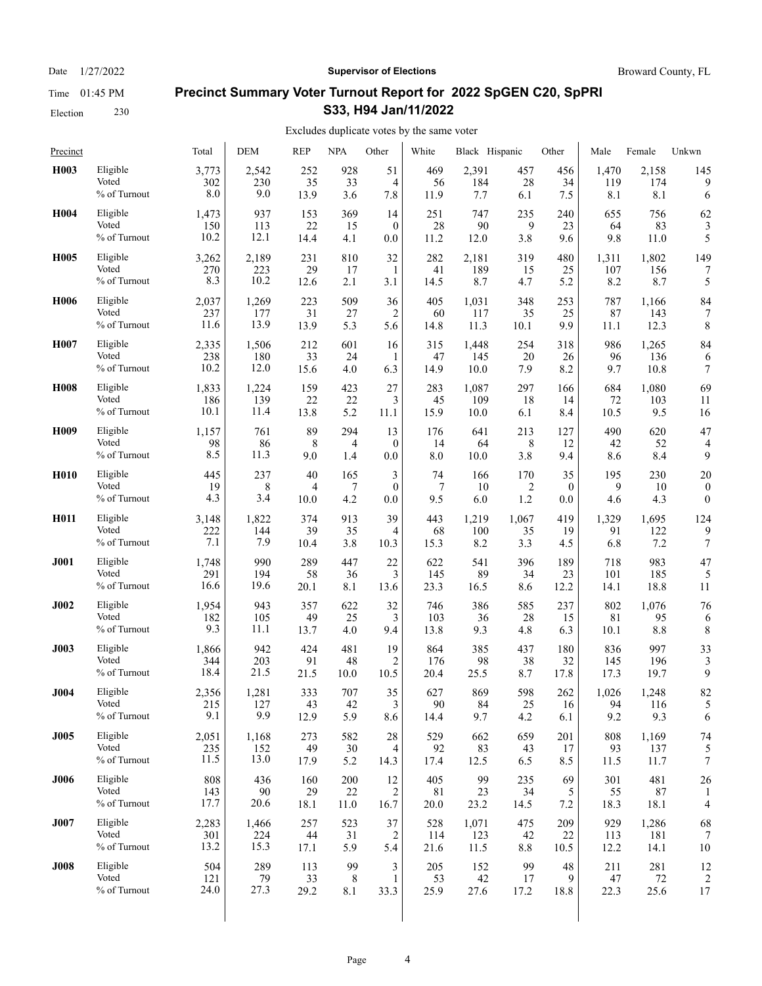Date  $1/27/2022$  **Supervisor of Elections** Broward County, FL

# **Precinct Summary Voter Turnout Report for 2022 SpGEN C20, SpPRI S33, H94 Jan/11/2022**

#### Excludes duplicate votes by the same voter  $\overline{1}$

| Precinct         |                                   | Total              | DEM               | <b>REP</b>        | <b>NPA</b>        | Other           | White             | Black Hispanic   |                   | Other          | Male              | Female            | Unkwn            |
|------------------|-----------------------------------|--------------------|-------------------|-------------------|-------------------|-----------------|-------------------|------------------|-------------------|----------------|-------------------|-------------------|------------------|
| H <sub>003</sub> | Eligible                          | 3,773              | 2.542             | 252               | 928               | 51              | 469               | 2,391            | 457               | 456            | 1,470             | 2,158             | 145              |
|                  | Voted                             | 302                | 230               | 35                | 33                | 4               | 56                | 184              | 28                | 34             | 119               | 174               | 9                |
|                  | % of Turnout                      | 8.0                | 9.0               | 13.9              | 3.6               | 7.8             | 11.9              | 7.7              | 6.1               | 7.5            | 8.1               | 8.1               | 6                |
| H <sub>004</sub> | Eligible                          | 1,473              | 937               | 153               | 369               | 14              | 251               | 747              | 235               | 240            | 655               | 756               | 62               |
|                  | Voted                             | 150                | 113               | 22                | 15                | $\mathbf{0}$    | 28                | 90               | 9                 | 23             | 64                | 83                | 3                |
|                  | % of Turnout                      | 10.2               | 12.1              | 14.4              | 4.1               | 0.0             | 11.2              | 12.0             | 3.8               | 9.6            | 9.8               | 11.0              | 5                |
| H <sub>005</sub> | Eligible                          | 3,262              | 2,189             | 231               | 810               | 32              | 282               | 2,181            | 319               | 480            | 1,311             | 1,802             | 149              |
|                  | Voted                             | 270                | 223               | 29                | 17                | 1               | 41                | 189              | 15                | 25             | 107               | 156               | 7                |
|                  | % of Turnout                      | 8.3                | 10.2              | 12.6              | 2.1               | 3.1             | 14.5              | 8.7              | 4.7               | 5.2            | 8.2               | 8.7               | 5                |
| H <sub>006</sub> | Eligible                          | 2,037              | 1,269             | 223               | 509               | 36              | 405               | 1,031            | 348               | 253            | 787               | 1,166             | 84               |
|                  | Voted                             | 237                | 177               | 31                | 27                | 2               | 60                | 117              | 35                | 25             | 87                | 143               | 7                |
|                  | % of Turnout                      | 11.6               | 13.9              | 13.9              | 5.3               | 5.6             | 14.8              | 11.3             | 10.1              | 9.9            | 11.1              | 12.3              | 8                |
| H <sub>007</sub> | Eligible                          | 2,335              | 1,506             | 212               | 601               | 16              | 315               | 1,448            | 254               | 318            | 986               | 1,265             | 84               |
|                  | Voted                             | 238                | 180               | 33                | 24                | 1               | 47                | 145              | 20                | 26             | 96                | 136               | 6                |
|                  | % of Turnout                      | 10.2               | 12.0              | 15.6              | 4.0               | 6.3             | 14.9              | 10.0             | 7.9               | 8.2            | 9.7               | 10.8              | 7                |
| <b>H008</b>      | Eligible                          | 1,833              | 1,224             | 159               | 423               | 27              | 283               | 1,087            | 297               | 166            | 684               | 1,080             | 69               |
|                  | Voted                             | 186                | 139               | 22                | 22                | 3               | 45                | 109              | 18                | 14             | 72                | 103               | 11               |
|                  | % of Turnout                      | 10.1               | 11.4              | 13.8              | 5.2               | 11.1            | 15.9              | 10.0             | 6.1               | 8.4            | 10.5              | 9.5               | 16               |
| H <sub>009</sub> | Eligible                          | 1,157              | 761               | 89                | 294               | 13              | 176               | 641              | 213               | 127            | 490               | 620               | 47               |
|                  | Voted                             | 98                 | 86                | 8                 | 4                 | $\mathbf{0}$    | 14                | 64               | 8                 | 12             | 42                | 52                | $\overline{4}$   |
|                  | % of Turnout                      | 8.5                | 11.3              | 9.0               | 1.4               | 0.0             | 8.0               | 10.0             | 3.8               | 9.4            | 8.6               | 8.4               | 9                |
| H <sub>010</sub> | Eligible                          | 445                | 237               | 40                | 165               | 3               | 74                | 166              | 170               | 35             | 195               | 230               | 20               |
|                  | Voted                             | 19                 | 8                 | 4                 | 7                 | $\mathbf{0}$    | 7                 | 10               | $\overline{2}$    | $\mathbf{0}$   | 9                 | 10                | $\boldsymbol{0}$ |
|                  | % of Turnout                      | 4.3                | 3.4               | 10.0              | 4.2               | 0.0             | 9.5               | 6.0              | 1.2               | 0.0            | 4.6               | 4.3               | $\boldsymbol{0}$ |
| H011             | Eligible                          | 3,148              | 1,822             | 374               | 913               | 39              | 443               | 1,219            | 1,067             | 419            | 1,329             | 1,695             | 124              |
|                  | Voted                             | 222                | 144               | 39                | 35                | 4               | 68                | 100              | 35                | 19             | 91                | 122               | 9                |
|                  | % of Turnout                      | 7.1                | 7.9               | 10.4              | 3.8               | 10.3            | 15.3              | 8.2              | 3.3               | 4.5            | 6.8               | 7.2               | 7                |
| <b>J001</b>      | Eligible                          | 1,748              | 990               | 289               | 447               | 22              | 622               | 541              | 396               | 189            | 718               | 983               | 47               |
|                  | Voted                             | 291                | 194               | 58                | 36                | 3               | 145               | 89               | 34                | 23             | 101               | 185               | 5                |
|                  | % of Turnout                      | 16.6               | 19.6              | 20.1              | 8.1               | 13.6            | 23.3              | 16.5             | 8.6               | 12.2           | 14.1              | 18.8              | 11               |
| <b>J002</b>      | Eligible                          | 1,954              | 943               | 357               | 622               | 32              | 746               | 386              | 585               | 237            | 802               | 1,076             | 76               |
|                  | Voted                             | 182                | 105               | 49                | 25                | 3               | 103               | 36               | 28                | 15             | 81                | 95                | 6                |
|                  | % of Turnout                      | 9.3                | 11.1              | 13.7              | 4.0               | 9.4             | 13.8              | 9.3              | 4.8               | 6.3            | 10.1              | 8.8               | 8                |
| <b>J003</b>      | Eligible                          | 1,866              | 942               | 424               | 481               | 19              | 864               | 385              | 437               | 180            | 836               | 997               | 33               |
|                  | Voted                             | 344                | 203               | 91                | 48                | 2               | 176               | 98               | 38                | 32             | 145               | 196               | 3                |
|                  | % of Turnout                      | 18.4               | 21.5              | 21.5              | 10.0              | $10.5\,$        | 20.4              | 25.5             | 8.7               | 17.8           | 17.3              | 19.7              | 9                |
| <b>J004</b>      | Eligible                          | 2,356              | 1,281             | 333               | 707               | 35              | 627               | 869              | 598               | 262            | 1,026             | 1,248             | 82               |
|                  | Voted                             | 215                | 127               | 43                | 42                | 3               | 90                | 84               | 25                | 16             | 94                | 116               | 5                |
|                  | % of Turnout                      | 9.1                | 9.9               | 12.9              | 5.9               | 8.6             | 14.4              | 9.7              | 4.2               | 6.1            | 9.2               | 9.3               | 6                |
| <b>J005</b>      | Eligible                          | 2,051              | 1,168             | 273               | 582               | 28              | 529               | 662              | 659               | 201            | 808               | 1,169             | 74               |
|                  | Voted                             | 235                | 152               | 49                | 30                | 4               | 92                | 83               | 43                | 17             | 93                | 137               | 5                |
|                  | % of Turnout                      | 11.5               | 13.0              | 17.9              | 5.2               | 14.3            | 17.4              | 12.5             | 6.5               | 8.5            | 11.5              | 11.7              | 7                |
| <b>J006</b>      | Eligible<br>Voted<br>% of Turnout | 808<br>143<br>17.7 | 436<br>90<br>20.6 | 160<br>29<br>18.1 | 200<br>22<br>11.0 | 12<br>2<br>16.7 | 405<br>81<br>20.0 | 99<br>23<br>23.2 | 235<br>34<br>14.5 | 69<br>5<br>7.2 | 301<br>55<br>18.3 | 481<br>87<br>18.1 | 26<br>4          |
| <b>J007</b>      | Eligible                          | 2,283              | 1,466             | 257               | 523               | 37              | 528               | 1,071            | 475               | 209            | 929               | 1,286             | 68               |
|                  | Voted                             | 301                | 224               | 44                | 31                | 2               | 114               | 123              | 42                | 22             | 113               | 181               | 7                |
|                  | % of Turnout                      | 13.2               | 15.3              | 17.1              | 5.9               | 5.4             | 21.6              | 11.5             | 8.8               | 10.5           | 12.2              | 14.1              | 10               |
| <b>J008</b>      | Eligible                          | 504                | 289               | 113               | 99                | 3               | 205               | 152              | 99                | 48             | 211               | 281               | 12               |
|                  | Voted                             | 121                | 79                | 33                | 8                 | $\mathbf{1}$    | 53                | $42\,$           | 17                | 9              | 47                | 72                | $\overline{2}$   |
|                  | % of Turnout                      | 24.0               | 27.3              | 29.2              | 8.1               | 33.3            | 25.9              | 27.6             | 17.2              | 18.8           | 22.3              | 25.6              | 17               |
|                  |                                   |                    |                   |                   |                   |                 |                   |                  |                   |                |                   |                   |                  |

Election 230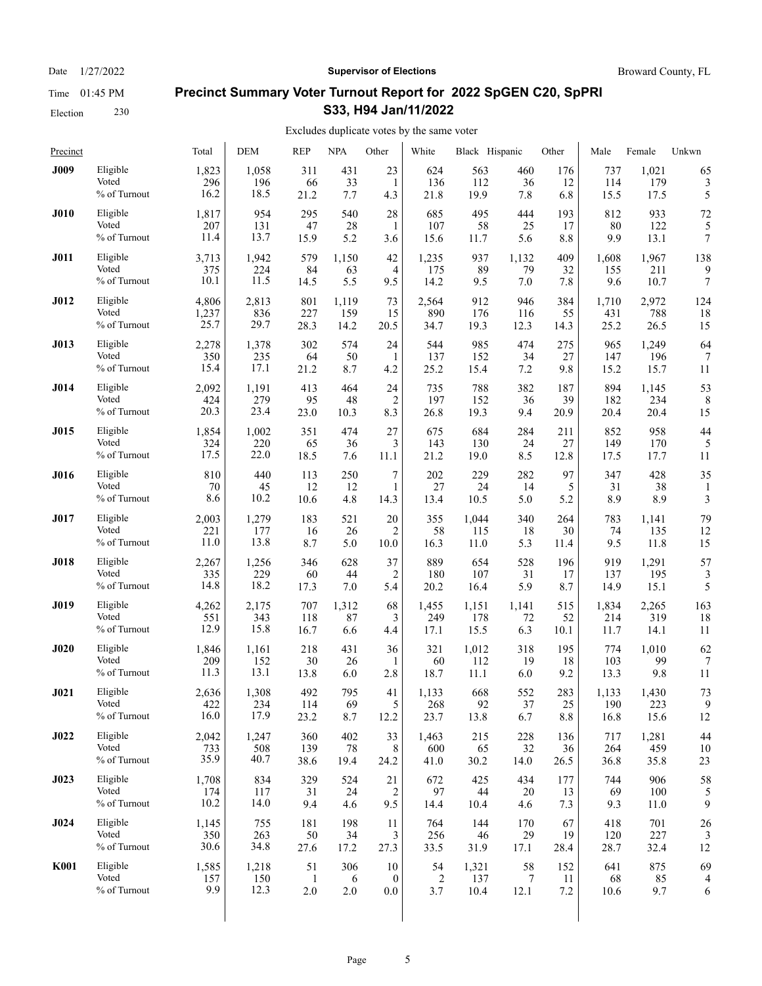Date  $1/27/2022$  **Supervisor of Elections** Broward County, FL

# **Precinct Summary Voter Turnout Report for 2022 SpGEN C20, SpPRI S33, H94 Jan/11/2022**

| Precinct    |              | Total | DEM   | <b>REP</b>   | <b>NPA</b> | Other          | White | Black Hispanic |       | Other | Male  | Female | Unkwn            |
|-------------|--------------|-------|-------|--------------|------------|----------------|-------|----------------|-------|-------|-------|--------|------------------|
| <b>J009</b> | Eligible     | 1,823 | 1,058 | 311          | 431        | 23             | 624   | 563            | 460   | 176   | 737   | 1,021  | 65               |
|             | Voted        | 296   | 196   | 66           | 33         | 1              | 136   | 112            | 36    | 12    | 114   | 179    | 3                |
|             | % of Turnout | 16.2  | 18.5  | 21.2         | 7.7        | 4.3            | 21.8  | 19.9           | 7.8   | 6.8   | 15.5  | 17.5   | 5                |
| <b>J010</b> | Eligible     | 1,817 | 954   | 295          | 540        | 28             | 685   | 495            | 444   | 193   | 812   | 933    | 72               |
|             | Voted        | 207   | 131   | 47           | 28         | 1              | 107   | 58             | 25    | 17    | 80    | 122    | 5                |
|             | % of Turnout | 11.4  | 13.7  | 15.9         | 5.2        | 3.6            | 15.6  | 11.7           | 5.6   | 8.8   | 9.9   | 13.1   | 7                |
| <b>J011</b> | Eligible     | 3,713 | 1,942 | 579          | 1,150      | 42             | 1,235 | 937            | 1,132 | 409   | 1,608 | 1,967  | 138              |
|             | Voted        | 375   | 224   | 84           | 63         | $\overline{4}$ | 175   | 89             | 79    | 32    | 155   | 211    | 9                |
|             | % of Turnout | 10.1  | 11.5  | 14.5         | 5.5        | 9.5            | 14.2  | 9.5            | 7.0   | 7.8   | 9.6   | 10.7   | $\boldsymbol{7}$ |
| <b>J012</b> | Eligible     | 4,806 | 2,813 | 801          | 1,119      | 73             | 2,564 | 912            | 946   | 384   | 1,710 | 2,972  | 124              |
|             | Voted        | 1,237 | 836   | 227          | 159        | 15             | 890   | 176            | 116   | 55    | 431   | 788    | 18               |
|             | % of Turnout | 25.7  | 29.7  | 28.3         | 14.2       | 20.5           | 34.7  | 19.3           | 12.3  | 14.3  | 25.2  | 26.5   | 15               |
| J013        | Eligible     | 2,278 | 1,378 | 302          | 574        | 24             | 544   | 985            | 474   | 275   | 965   | 1,249  | 64               |
|             | Voted        | 350   | 235   | 64           | 50         | 1              | 137   | 152            | 34    | 27    | 147   | 196    | 7                |
|             | % of Turnout | 15.4  | 17.1  | 21.2         | 8.7        | 4.2            | 25.2  | 15.4           | 7.2   | 9.8   | 15.2  | 15.7   | 11               |
| J014        | Eligible     | 2,092 | 1,191 | 413          | 464        | 24             | 735   | 788            | 382   | 187   | 894   | 1,145  | 53               |
|             | Voted        | 424   | 279   | 95           | 48         | 2              | 197   | 152            | 36    | 39    | 182   | 234    | 8                |
|             | % of Turnout | 20.3  | 23.4  | 23.0         | 10.3       | 8.3            | 26.8  | 19.3           | 9.4   | 20.9  | 20.4  | 20.4   | 15               |
| <b>J015</b> | Eligible     | 1,854 | 1,002 | 351          | 474        | 27             | 675   | 684            | 284   | 211   | 852   | 958    | 44               |
|             | Voted        | 324   | 220   | 65           | 36         | 3              | 143   | 130            | 24    | 27    | 149   | 170    | 5                |
|             | % of Turnout | 17.5  | 22.0  | 18.5         | 7.6        | 11.1           | 21.2  | 19.0           | 8.5   | 12.8  | 17.5  | 17.7   | 11               |
| <b>J016</b> | Eligible     | 810   | 440   | 113          | 250        | 7              | 202   | 229            | 282   | 97    | 347   | 428    | 35               |
|             | Voted        | 70    | 45    | 12           | 12         | 1              | 27    | 24             | 14    | 5     | 31    | 38     | 1                |
|             | % of Turnout | 8.6   | 10.2  | 10.6         | 4.8        | 14.3           | 13.4  | 10.5           | 5.0   | 5.2   | 8.9   | 8.9    | 3                |
| J017        | Eligible     | 2,003 | 1,279 | 183          | 521        | 20             | 355   | 1,044          | 340   | 264   | 783   | 1,141  | 79               |
|             | Voted        | 221   | 177   | 16           | 26         | 2              | 58    | 115            | 18    | 30    | 74    | 135    | 12               |
|             | % of Turnout | 11.0  | 13.8  | 8.7          | 5.0        | 10.0           | 16.3  | 11.0           | 5.3   | 11.4  | 9.5   | 11.8   | 15               |
| <b>J018</b> | Eligible     | 2,267 | 1,256 | 346          | 628        | 37             | 889   | 654            | 528   | 196   | 919   | 1,291  | 57               |
|             | Voted        | 335   | 229   | 60           | 44         | 2              | 180   | 107            | 31    | 17    | 137   | 195    | 3                |
|             | % of Turnout | 14.8  | 18.2  | 17.3         | 7.0        | 5.4            | 20.2  | 16.4           | 5.9   | 8.7   | 14.9  | 15.1   | 5                |
| <b>J019</b> | Eligible     | 4,262 | 2,175 | 707          | 1,312      | 68             | 1,455 | 1,151          | 1,141 | 515   | 1,834 | 2,265  | 163              |
|             | Voted        | 551   | 343   | 118          | 87         | 3              | 249   | 178            | 72    | 52    | 214   | 319    | 18               |
|             | % of Turnout | 12.9  | 15.8  | 16.7         | 6.6        | 4.4            | 17.1  | 15.5           | 6.3   | 10.1  | 11.7  | 14.1   | 11               |
| J020        | Eligible     | 1,846 | 1,161 | 218          | 431        | 36             | 321   | 1,012          | 318   | 195   | 774   | 1,010  | 62               |
|             | Voted        | 209   | 152   | 30           | 26         | 1              | 60    | 112            | 19    | 18    | 103   | 99     | 7                |
|             | % of Turnout | 11.3  | 13.1  | 13.8         | 6.0        | 2.8            | 18.7  | 11.1           | 6.0   | 9.2   | 13.3  | 9.8    | 11               |
| J021        | Eligible     | 2,636 | 1,308 | 492          | 795        | 41             | 1,133 | 668            | 552   | 283   | 1,133 | 1,430  | 73               |
|             | Voted        | 422   | 234   | 114          | 69         | 5              | 268   | 92             | 37    | 25    | 190   | 223    | 9                |
|             | % of Turnout | 16.0  | 17.9  | 23.2         | 8.7        | 12.2           | 23.7  | 13.8           | 6.7   | 8.8   | 16.8  | 15.6   | 12               |
| <b>J022</b> | Eligible     | 2,042 | 1,247 | 360          | 402        | 33             | 1,463 | 215            | 228   | 136   | 717   | 1,281  | 44               |
|             | Voted        | 733   | 508   | 139          | 78         | 8              | 600   | 65             | 32    | 36    | 264   | 459    | 10               |
|             | % of Turnout | 35.9  | 40.7  | 38.6         | 19.4       | 24.2           | 41.0  | 30.2           | 14.0  | 26.5  | 36.8  | 35.8   | 23               |
| J023        | Eligible     | 1,708 | 834   | 329          | 524        | 21             | 672   | 425            | 434   | 177   | 744   | 906    | 58               |
|             | Voted        | 174   | 117   | 31           | 24         | 2              | 97    | 44             | 20    | 13    | 69    | 100    | 5                |
|             | % of Turnout | 10.2  | 14.0  | 9.4          | 4.6        | 9.5            | 14.4  | 10.4           | 4.6   | 7.3   | 9.3   | 11.0   | 9                |
| J024        | Eligible     | 1,145 | 755   | 181          | 198        | 11             | 764   | 144            | 170   | 67    | 418   | 701    | 26               |
|             | Voted        | 350   | 263   | 50           | 34         | 3              | 256   | 46             | 29    | 19    | 120   | 227    | 3                |
|             | % of Turnout | 30.6  | 34.8  | 27.6         | 17.2       | 27.3           | 33.5  | 31.9           | 17.1  | 28.4  | 28.7  | 32.4   | 12               |
| <b>K001</b> | Eligible     | 1,585 | 1,218 | 51           | 306        | 10             | 54    | 1,321          | 58    | 152   | 641   | 875    | 69               |
|             | Voted        | 157   | 150   | $\mathbf{1}$ | 6          | $\mathbf{0}$   | 2     | 137            | 7     | 11    | 68    | 85     | $\overline{4}$   |
|             | % of Turnout | 9.9   | 12.3  | 2.0          | 2.0        | 0.0            | 3.7   | 10.4           | 12.1  | 7.2   | 10.6  | 9.7    | 6                |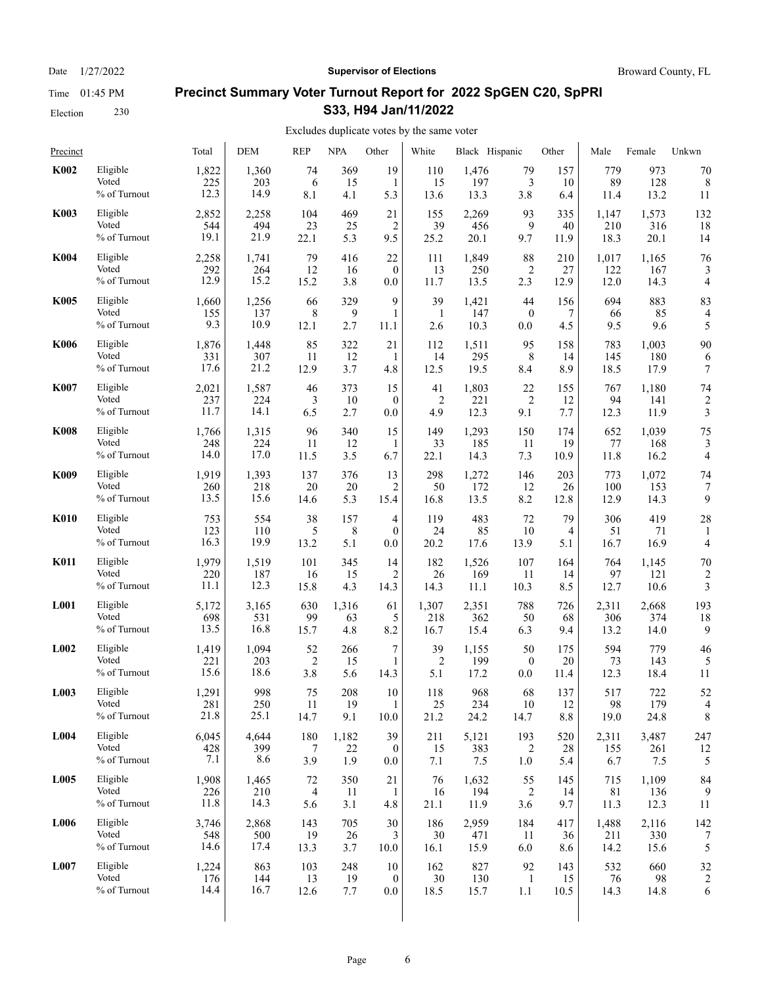Date  $1/27/2022$  **Supervisor of Elections** Broward County, FL

# **Precinct Summary Voter Turnout Report for 2022 SpGEN C20, SpPRI S33, H94 Jan/11/2022**

#### Excludes duplicate votes by the same voter  $\overline{1}$

| Precinct         |              | Total | DEM   | REP            | NPA   | Other            | White  | Black Hispanic |                  | Other | Male  | Female | Unkwn                   |
|------------------|--------------|-------|-------|----------------|-------|------------------|--------|----------------|------------------|-------|-------|--------|-------------------------|
| K002             | Eligible     | 1,822 | 1,360 | 74             | 369   | 19               | 110    | 1,476          | 79               | 157   | 779   | 973    | 70                      |
|                  | Voted        | 225   | 203   | 6              | 15    | 1                | 15     | 197            | 3                | 10    | 89    | 128    | 8                       |
|                  | % of Turnout | 12.3  | 14.9  | 8.1            | 4.1   | 5.3              | 13.6   | 13.3           | 3.8              | 6.4   | 11.4  | 13.2   | 11                      |
| <b>K003</b>      | Eligible     | 2,852 | 2,258 | 104            | 469   | 21               | 155    | 2,269          | 93               | 335   | 1,147 | 1,573  | 132                     |
|                  | Voted        | 544   | 494   | 23             | 25    | $\overline{c}$   | 39     | 456            | 9                | 40    | 210   | 316    | 18                      |
|                  | % of Turnout | 19.1  | 21.9  | 22.1           | 5.3   | 9.5              | 25.2   | 20.1           | 9.7              | 11.9  | 18.3  | 20.1   | 14                      |
| <b>K004</b>      | Eligible     | 2,258 | 1,741 | 79             | 416   | 22               | 111    | 1,849          | 88               | 210   | 1,017 | 1,165  | 76                      |
|                  | Voted        | 292   | 264   | 12             | 16    | $\mathbf{0}$     | 13     | 250            | $\overline{2}$   | 27    | 122   | 167    | 3                       |
|                  | % of Turnout | 12.9  | 15.2  | 15.2           | 3.8   | 0.0              | 11.7   | 13.5           | 2.3              | 12.9  | 12.0  | 14.3   | 4                       |
| <b>K005</b>      | Eligible     | 1,660 | 1,256 | 66             | 329   | 9                | 39     | 1,421          | 44               | 156   | 694   | 883    | 83                      |
|                  | Voted        | 155   | 137   | 8              | 9     | $\mathbf{1}$     | 1      | 147            | $\boldsymbol{0}$ | 7     | 66    | 85     | $\overline{4}$          |
|                  | % of Turnout | 9.3   | 10.9  | 12.1           | 2.7   | 11.1             | 2.6    | 10.3           | 0.0              | 4.5   | 9.5   | 9.6    | 5                       |
| <b>K006</b>      | Eligible     | 1,876 | 1,448 | 85             | 322   | 21               | 112    | 1,511          | 95               | 158   | 783   | 1,003  | 90                      |
|                  | Voted        | 331   | 307   | 11             | 12    | 1                | 14     | 295            | 8                | 14    | 145   | 180    | 6                       |
|                  | % of Turnout | 17.6  | 21.2  | 12.9           | 3.7   | 4.8              | 12.5   | 19.5           | 8.4              | 8.9   | 18.5  | 17.9   | 7                       |
| <b>K007</b>      | Eligible     | 2,021 | 1,587 | 46             | 373   | 15               | 41     | 1,803          | 22               | 155   | 767   | 1,180  | 74                      |
|                  | Voted        | 237   | 224   | 3              | 10    | $\mathbf{0}$     | 2      | 221            | $\overline{c}$   | 12    | 94    | 141    | $\overline{\mathbf{c}}$ |
|                  | % of Turnout | 11.7  | 14.1  | 6.5            | 2.7   | $0.0\,$          | 4.9    | 12.3           | 9.1              | 7.7   | 12.3  | 11.9   | 3                       |
| <b>K008</b>      | Eligible     | 1,766 | 1,315 | 96             | 340   | 15               | 149    | 1,293          | 150              | 174   | 652   | 1,039  | 75                      |
|                  | Voted        | 248   | 224   | 11             | 12    | 1                | 33     | 185            | 11               | 19    | 77    | 168    | 3                       |
|                  | % of Turnout | 14.0  | 17.0  | 11.5           | 3.5   | 6.7              | 22.1   | 14.3           | 7.3              | 10.9  | 11.8  | 16.2   | 4                       |
| <b>K009</b>      | Eligible     | 1,919 | 1,393 | 137            | 376   | 13               | 298    | 1,272          | 146              | 203   | 773   | 1,072  | 74                      |
|                  | Voted        | 260   | 218   | 20             | 20    | $\overline{2}$   | 50     | 172            | 12               | 26    | 100   | 153    | 7                       |
|                  | % of Turnout | 13.5  | 15.6  | 14.6           | 5.3   | 15.4             | 16.8   | 13.5           | 8.2              | 12.8  | 12.9  | 14.3   | 9                       |
| K010             | Eligible     | 753   | 554   | 38             | 157   | 4                | 119    | 483            | 72               | 79    | 306   | 419    | 28                      |
|                  | Voted        | 123   | 110   | 5              | 8     | $\mathbf{0}$     | 24     | 85             | 10               | 4     | 51    | 71     | 1                       |
|                  | % of Turnout | 16.3  | 19.9  | 13.2           | 5.1   | 0.0              | 20.2   | 17.6           | 13.9             | 5.1   | 16.7  | 16.9   | 4                       |
| <b>K011</b>      | Eligible     | 1,979 | 1,519 | 101            | 345   | 14               | 182    | 1,526          | 107              | 164   | 764   | 1,145  | 70                      |
|                  | Voted        | 220   | 187   | 16             | 15    | 2                | 26     | 169            | 11               | 14    | 97    | 121    | $\overline{c}$          |
|                  | % of Turnout | 11.1  | 12.3  | 15.8           | 4.3   | 14.3             | 14.3   | 11.1           | 10.3             | 8.5   | 12.7  | 10.6   | 3                       |
| L001             | Eligible     | 5,172 | 3,165 | 630            | 1,316 | 61               | 1,307  | 2,351          | 788              | 726   | 2,311 | 2,668  | 193                     |
|                  | Voted        | 698   | 531   | 99             | 63    | 5                | 218    | 362            | 50               | 68    | 306   | 374    | 18                      |
|                  | % of Turnout | 13.5  | 16.8  | 15.7           | 4.8   | 8.2              | 16.7   | 15.4           | 6.3              | 9.4   | 13.2  | 14.0   | 9                       |
| L <sub>002</sub> | Eligible     | 1,419 | 1,094 | 52             | 266   | 7                | 39     | 1,155          | 50               | 175   | 594   | 779    | 46                      |
|                  | Voted        | 221   | 203   | $\overline{2}$ | 15    | 1                | 2      | 199            | $\boldsymbol{0}$ | 20    | 73    | 143    | 5                       |
|                  | % of Turnout | 15.6  | 18.6  | 3.8            | 5.6   | 14.3             | 5.1    | 17.2           | 0.0              | 11.4  | 12.3  | 18.4   | 11                      |
| L003             | Eligible     | 1,291 | 998   | 75             | 208   | 10               | 118    | 968            | 68               | 137   | 517   | 722    | 52                      |
|                  | Voted        | 281   | 250   | 11             | 19    | $\mathbf{1}$     | $25\,$ | 234            | 10               | 12    | 98    | 179    | 4                       |
|                  | % of Turnout | 21.8  | 25.1  | 14.7           | 9.1   | 10.0             | 21.2   | 24.2           | 14.7             | 8.8   | 19.0  | 24.8   | 8                       |
| L004             | Eligible     | 6,045 | 4,644 | 180            | 1,182 | 39               | 211    | 5,121          | 193              | 520   | 2,311 | 3,487  | 247                     |
|                  | Voted        | 428   | 399   | 7              | 22    | $\mathbf{0}$     | 15     | 383            | 2                | 28    | 155   | 261    | 12                      |
|                  | % of Turnout | 7.1   | 8.6   | 3.9            | 1.9   | 0.0              | 7.1    | 7.5            | 1.0              | 5.4   | 6.7   | 7.5    | 5                       |
| L005             | Eligible     | 1,908 | 1,465 | 72             | 350   | 21               | 76     | 1,632          | 55               | 145   | 715   | 1,109  | 84                      |
|                  | Voted        | 226   | 210   | $\overline{4}$ | 11    | 1                | 16     | 194            | $\overline{c}$   | 14    | 81    | 136    | 9                       |
|                  | % of Turnout | 11.8  | 14.3  | 5.6            | 3.1   | 4.8              | 21.1   | 11.9           | 3.6              | 9.7   | 11.3  | 12.3   | 11                      |
| L006             | Eligible     | 3,746 | 2,868 | 143            | 705   | 30               | 186    | 2,959          | 184              | 417   | 1,488 | 2,116  | 142                     |
|                  | Voted        | 548   | 500   | 19             | 26    | 3                | 30     | 471            | 11               | 36    | 211   | 330    | 7                       |
|                  | % of Turnout | 14.6  | 17.4  | 13.3           | 3.7   | 10.0             | 16.1   | 15.9           | 6.0              | 8.6   | 14.2  | 15.6   | 5                       |
| L007             | Eligible     | 1,224 | 863   | 103            | 248   | 10               | 162    | 827            | 92               | 143   | 532   | 660    | 32                      |
|                  | Voted        | 176   | 144   | 13             | 19    | $\boldsymbol{0}$ | 30     | 130            | $\mathbf{1}$     | 15    | 76    | 98     | $\overline{\mathbf{c}}$ |
|                  | % of Turnout | 14.4  | 16.7  | 12.6           | 7.7   | $0.0\,$          | 18.5   | 15.7           | 1.1              | 10.5  | 14.3  | 14.8   | 6                       |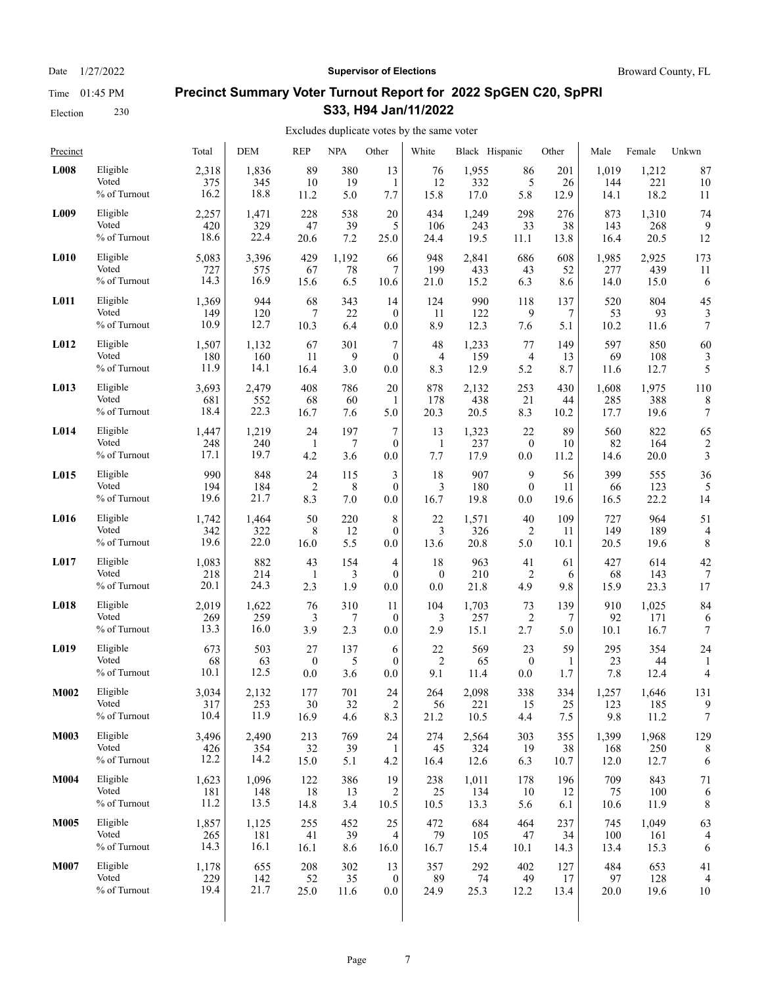Date  $1/27/2022$  **Supervisor of Elections** Broward County, FL

# **Precinct Summary Voter Turnout Report for 2022 SpGEN C20, SpPRI S33, H94 Jan/11/2022**

| Precinct         |                                   | Total                | <b>DEM</b>         | <b>REP</b>        | <b>NPA</b>        | Other                     | White             | Black Hispanic    |                   | Other             | Male              | Female             | Unkwn                   |
|------------------|-----------------------------------|----------------------|--------------------|-------------------|-------------------|---------------------------|-------------------|-------------------|-------------------|-------------------|-------------------|--------------------|-------------------------|
| L008             | Eligible                          | 2,318                | 1,836              | 89                | 380               | 13                        | 76                | 1,955             | 86                | 201               | 1,019             | 1,212              | 87                      |
|                  | Voted                             | 375                  | 345                | 10                | 19                | 1                         | 12                | 332               | 5                 | 26                | 144               | 221                | 10                      |
|                  | % of Turnout                      | 16.2                 | 18.8               | 11.2              | 5.0               | 7.7                       | 15.8              | 17.0              | 5.8               | 12.9              | 14.1              | 18.2               | 11                      |
| L009             | Eligible                          | 2,257                | 1,471              | 228               | 538               | 20                        | 434               | 1,249             | 298               | 276               | 873               | 1,310              | 74                      |
|                  | Voted                             | 420                  | 329                | 47                | 39                | 5                         | 106               | 243               | 33                | 38                | 143               | 268                | 9                       |
|                  | % of Turnout                      | 18.6                 | 22.4               | 20.6              | 7.2               | 25.0                      | 24.4              | 19.5              | 11.1              | 13.8              | 16.4              | 20.5               | 12                      |
| L <sub>010</sub> | Eligible                          | 5,083                | 3,396              | 429               | 1,192             | 66                        | 948               | 2,841             | 686               | 608               | 1,985             | 2,925              | 173                     |
|                  | Voted                             | 727                  | 575                | 67                | 78                | 7                         | 199               | 433               | 43                | 52                | 277               | 439                | 11                      |
|                  | % of Turnout                      | 14.3                 | 16.9               | 15.6              | 6.5               | 10.6                      | 21.0              | 15.2              | 6.3               | 8.6               | 14.0              | 15.0               | 6                       |
| L011             | Eligible                          | 1,369                | 944                | 68                | 343               | 14                        | 124               | 990               | 118               | 137               | 520               | 804                | 45                      |
|                  | Voted                             | 149                  | 120                | 7                 | 22                | $\mathbf{0}$              | 11                | 122               | 9                 | 7                 | 53                | 93                 | 3                       |
|                  | % of Turnout                      | 10.9                 | 12.7               | 10.3              | 6.4               | 0.0                       | 8.9               | 12.3              | 7.6               | 5.1               | 10.2              | 11.6               | 7                       |
| L012             | Eligible                          | 1,507                | 1,132              | 67                | 301               | 7                         | 48                | 1,233             | 77                | 149               | 597               | 850                | 60                      |
|                  | Voted                             | 180                  | 160                | 11                | 9                 | $\mathbf{0}$              | $\overline{4}$    | 159               | 4                 | 13                | 69                | 108                | 3                       |
|                  | % of Turnout                      | 11.9                 | 14.1               | 16.4              | 3.0               | 0.0                       | 8.3               | 12.9              | 5.2               | 8.7               | 11.6              | 12.7               | 5                       |
| L013             | Eligible                          | 3,693                | 2,479              | 408               | 786               | 20                        | 878               | 2.132             | 253               | 430               | 1,608             | 1,975              | 110                     |
|                  | Voted                             | 681                  | 552                | 68                | 60                | 1                         | 178               | 438               | 21                | 44                | 285               | 388                | 8                       |
|                  | % of Turnout                      | 18.4                 | 22.3               | 16.7              | 7.6               | 5.0                       | 20.3              | 20.5              | 8.3               | 10.2              | 17.7              | 19.6               | 7                       |
| L014             | Eligible                          | 1,447                | 1,219              | 24                | 197               | $\boldsymbol{7}$          | 13                | 1,323             | 22                | 89                | 560               | 822                | 65                      |
|                  | Voted                             | 248                  | 240                | $\mathbf{1}$      | 7                 | $\mathbf{0}$              | $\mathbf{1}$      | 237               | $\boldsymbol{0}$  | 10                | 82                | 164                | $\overline{\mathbf{c}}$ |
|                  | % of Turnout                      | 17.1                 | 19.7               | 4.2               | 3.6               | 0.0                       | 7.7               | 17.9              | 0.0               | 11.2              | 14.6              | 20.0               | 3                       |
| L015             | Eligible                          | 990                  | 848                | 24                | 115               | 3                         | 18                | 907               | 9                 | 56                | 399               | 555                | 36                      |
|                  | Voted                             | 194                  | 184                | $\overline{2}$    | 8                 | $\mathbf{0}$              | 3                 | 180               | $\mathbf{0}$      | 11                | 66                | 123                | 5                       |
|                  | % of Turnout                      | 19.6                 | 21.7               | 8.3               | 7.0               | 0.0                       | 16.7              | 19.8              | 0.0               | 19.6              | 16.5              | 22.2               | 14                      |
| L016             | Eligible                          | 1,742                | 1,464              | 50                | 220               | 8                         | 22                | 1,571             | 40                | 109               | 727               | 964                | 51                      |
|                  | Voted                             | 342                  | 322                | 8                 | 12                | $\mathbf{0}$              | 3                 | 326               | 2                 | 11                | 149               | 189                | $\overline{4}$          |
|                  | % of Turnout                      | 19.6                 | 22.0               | 16.0              | 5.5               | 0.0                       | 13.6              | 20.8              | 5.0               | 10.1              | 20.5              | 19.6               | 8                       |
| L017             | Eligible                          | 1,083                | 882                | 43                | 154               | 4                         | 18                | 963               | 41                | 61                | 427               | 614                | 42                      |
|                  | Voted                             | 218                  | 214                | $\mathbf{1}$      | 3                 | $\theta$                  | $\boldsymbol{0}$  | 210               | 2                 | 6                 | 68                | 143                | 7                       |
|                  | % of Turnout                      | 20.1                 | 24.3               | 2.3               | 1.9               | 0.0                       | 0.0               | 21.8              | 4.9               | 9.8               | 15.9              | 23.3               | 17                      |
| L018             | Eligible                          | 2,019                | 1,622              | 76                | 310               | 11                        | 104               | 1,703             | 73                | 139               | 910               | 1,025              | 84                      |
|                  | Voted                             | 269                  | 259                | 3                 | 7                 | $\mathbf{0}$              | 3                 | 257               | 2                 | 7                 | 92                | 171                | 6                       |
|                  | % of Turnout                      | 13.3                 | 16.0               | 3.9               | 2.3               | 0.0                       | 2.9               | 15.1              | 2.7               | 5.0               | 10.1              | 16.7               | $\tau$                  |
| L019             | Eligible                          | 673                  | 503                | 27                | 137               | 6                         | 22                | 569               | 23                | 59                | 295               | 354                | 24                      |
|                  | Voted                             | 68                   | 63                 | $\overline{0}$    | 5                 | $\mathbf{0}$              | $\overline{2}$    | 65                | $\boldsymbol{0}$  | 1                 | 23                | 44                 | 1                       |
|                  | % of Turnout                      | 10.1                 | 12.5               | 0.0               | 3.6               | 0.0                       | 9.1               | 11.4              | 0.0               | 1.7               | 7.8               | 12.4               | 4                       |
| M002             | Eligible                          | 3,034                | 2,132              | 177               | 701               | 24                        | 264               | 2,098             | 338               | 334               | 1,257             | 1,646              | 131                     |
|                  | Voted                             | 317                  | 253                | 30                | 32                | $\overline{c}$            | 56                | 221               | 15                | 25                | 123               | 185                | 9                       |
|                  | % of Turnout                      | 10.4                 | 11.9               | 16.9              | 4.6               | 8.3                       | 21.2              | 10.5              | 4.4               | 7.5               | 9.8               | 11.2               | 7                       |
| M003             | Eligible                          | 3,496                | 2,490              | 213               | 769               | 24                        | 274               | 2,564             | 303               | 355               | 1,399             | 1,968              | 129                     |
|                  | Voted                             | 426                  | 354                | 32                | 39                | -1                        | 45                | 324               | 19                | 38                | 168               | 250                | 8                       |
|                  | % of Turnout                      | 12.2                 | 14.2               | 15.0              | 5.1               | 4.2                       | 16.4              | 12.6              | 6.3               | 10.7              | 12.0              | 12.7               | 6                       |
| <b>M004</b>      | Eligible                          | 1,623                | 1,096              | 122               | 386               | 19                        | 238               | 1,011             | 178               | 196               | 709               | 843                | 71                      |
|                  | Voted                             | 181                  | 148                | 18                | 13                | 2                         | 25                | 134               | 10                | 12                | 75                | 100                | 6                       |
|                  | % of Turnout                      | 11.2                 | 13.5               | 14.8              | 3.4               | 10.5                      | 10.5              | 13.3              | 5.6               | 6.1               | 10.6              | 11.9               | 8                       |
| <b>M005</b>      | Eligible                          | 1,857                | 1,125              | 255               | 452               | 25                        | 472               | 684               | 464               | 237               | 745               | 1,049              | 63                      |
|                  | Voted                             | 265                  | 181                | 41                | 39                | 4                         | 79                | 105               | 47                | 34                | 100               | 161                | 4                       |
|                  | % of Turnout                      | 14.3                 | 16.1               | 16.1              | 8.6               | 16.0                      | 16.7              | 15.4              | 10.1              | 14.3              | 13.4              | 15.3               | 6                       |
| <b>M007</b>      | Eligible<br>Voted<br>% of Turnout | 1,178<br>229<br>19.4 | 655<br>142<br>21.7 | 208<br>52<br>25.0 | 302<br>35<br>11.6 | 13<br>$\bf{0}$<br>$0.0\,$ | 357<br>89<br>24.9 | 292<br>74<br>25.3 | 402<br>49<br>12.2 | 127<br>17<br>13.4 | 484<br>97<br>20.0 | 653<br>128<br>19.6 | 41<br>10                |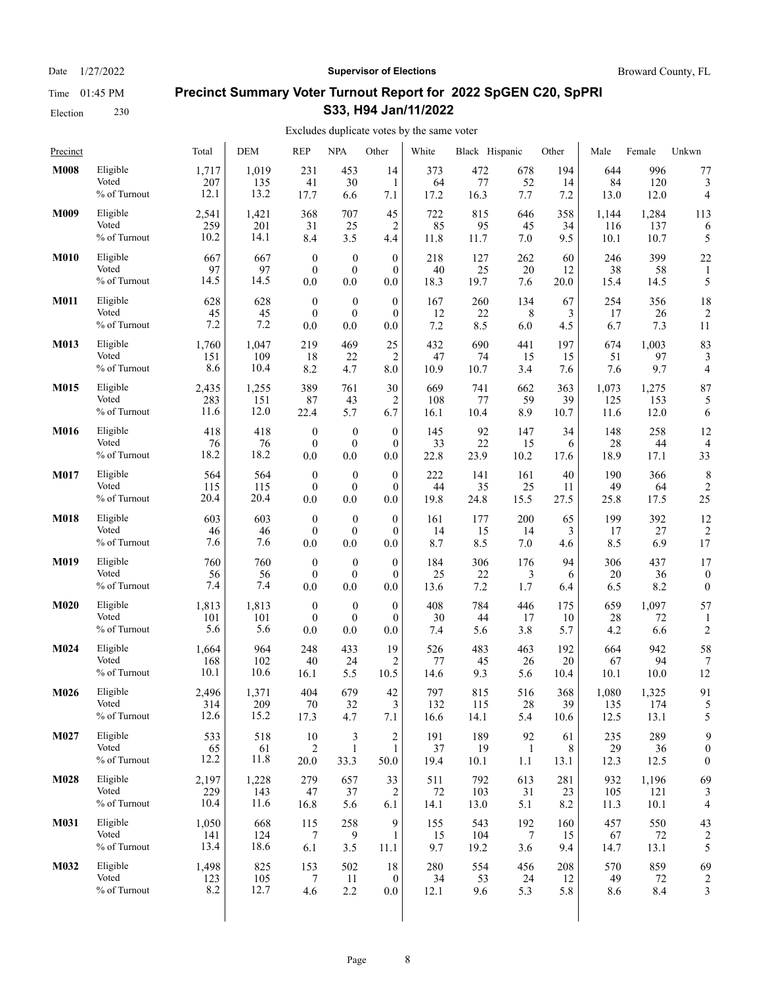Date  $1/27/2022$  **Supervisor of Elections** Broward County, FL

# **Precinct Summary Voter Turnout Report for 2022 SpGEN C20, SpPRI S33, H94 Jan/11/2022**

| Precinct    |              | Total | <b>DEM</b> | <b>REP</b>       | <b>NPA</b>       | Other            | White | Black Hispanic |              | Other | Male  | Female | Unkwn                   |
|-------------|--------------|-------|------------|------------------|------------------|------------------|-------|----------------|--------------|-------|-------|--------|-------------------------|
| <b>M008</b> | Eligible     | 1,717 | 1,019      | 231              | 453              | 14               | 373   | 472            | 678          | 194   | 644   | 996    | 77                      |
|             | Voted        | 207   | 135        | 41               | 30               | 1                | 64    | 77             | 52           | 14    | 84    | 120    | 3                       |
|             | % of Turnout | 12.1  | 13.2       | 17.7             | 6.6              | 7.1              | 17.2  | 16.3           | 7.7          | 7.2   | 13.0  | 12.0   | 4                       |
| M009        | Eligible     | 2,541 | 1,421      | 368              | 707              | 45               | 722   | 815            | 646          | 358   | 1,144 | 1,284  | 113                     |
|             | Voted        | 259   | 201        | 31               | 25               | 2                | 85    | 95             | 45           | 34    | 116   | 137    | 6                       |
|             | % of Turnout | 10.2  | 14.1       | 8.4              | 3.5              | 4.4              | 11.8  | 11.7           | 7.0          | 9.5   | 10.1  | 10.7   | 5                       |
| <b>M010</b> | Eligible     | 667   | 667        | $\boldsymbol{0}$ | $\boldsymbol{0}$ | $\mathbf{0}$     | 218   | 127            | 262          | 60    | 246   | 399    | 22                      |
|             | Voted        | 97    | 97         | $\mathbf{0}$     | $\boldsymbol{0}$ | $\mathbf{0}$     | 40    | 25             | 20           | 12    | 38    | 58     | $\mathbf{1}$            |
|             | % of Turnout | 14.5  | 14.5       | 0.0              | 0.0              | 0.0              | 18.3  | 19.7           | 7.6          | 20.0  | 15.4  | 14.5   | 5                       |
| <b>M011</b> | Eligible     | 628   | 628        | $\boldsymbol{0}$ | $\boldsymbol{0}$ | $\boldsymbol{0}$ | 167   | 260            | 134          | 67    | 254   | 356    | 18                      |
|             | Voted        | 45    | 45         | $\mathbf{0}$     | $\boldsymbol{0}$ | $\mathbf{0}$     | 12    | 22             | 8            | 3     | 17    | 26     | $\overline{2}$          |
|             | % of Turnout | 7.2   | 7.2        | 0.0              | 0.0              | 0.0              | 7.2   | 8.5            | 6.0          | 4.5   | 6.7   | 7.3    | 11                      |
| M013        | Eligible     | 1,760 | 1,047      | 219              | 469              | 25               | 432   | 690            | 441          | 197   | 674   | 1,003  | 83                      |
|             | Voted        | 151   | 109        | 18               | 22               | 2                | 47    | 74             | 15           | 15    | 51    | 97     | 3                       |
|             | % of Turnout | 8.6   | 10.4       | 8.2              | 4.7              | 8.0              | 10.9  | 10.7           | 3.4          | 7.6   | 7.6   | 9.7    | 4                       |
| M015        | Eligible     | 2,435 | 1,255      | 389              | 761              | 30               | 669   | 741            | 662          | 363   | 1,073 | 1,275  | 87                      |
|             | Voted        | 283   | 151        | 87               | 43               | 2                | 108   | 77             | 59           | 39    | 125   | 153    | 5                       |
|             | % of Turnout | 11.6  | 12.0       | 22.4             | 5.7              | 6.7              | 16.1  | 10.4           | 8.9          | 10.7  | 11.6  | 12.0   | 6                       |
| <b>M016</b> | Eligible     | 418   | 418        | $\mathbf{0}$     | $\boldsymbol{0}$ | $\mathbf{0}$     | 145   | 92             | 147          | 34    | 148   | 258    | 12                      |
|             | Voted        | 76    | 76         | $\mathbf{0}$     | $\mathbf{0}$     | $\mathbf{0}$     | 33    | 22             | 15           | 6     | 28    | 44     | $\overline{4}$          |
|             | % of Turnout | 18.2  | 18.2       | 0.0              | 0.0              | 0.0              | 22.8  | 23.9           | 10.2         | 17.6  | 18.9  | 17.1   | 33                      |
| M017        | Eligible     | 564   | 564        | $\boldsymbol{0}$ | $\boldsymbol{0}$ | $\theta$         | 222   | 141            | 161          | 40    | 190   | 366    | 8                       |
|             | Voted        | 115   | 115        | $\mathbf{0}$     | $\mathbf{0}$     | $\mathbf{0}$     | 44    | 35             | 25           | 11    | 49    | 64     | $\overline{c}$          |
|             | % of Turnout | 20.4  | 20.4       | 0.0              | 0.0              | 0.0              | 19.8  | 24.8           | 15.5         | 27.5  | 25.8  | 17.5   | 25                      |
| <b>M018</b> | Eligible     | 603   | 603        | $\boldsymbol{0}$ | $\boldsymbol{0}$ | $\mathbf{0}$     | 161   | 177            | 200          | 65    | 199   | 392    | 12                      |
|             | Voted        | 46    | 46         | $\mathbf{0}$     | $\mathbf{0}$     | $\mathbf{0}$     | 14    | 15             | 14           | 3     | 17    | 27     | $\overline{2}$          |
|             | % of Turnout | 7.6   | 7.6        | 0.0              | 0.0              | 0.0              | 8.7   | 8.5            | 7.0          | 4.6   | 8.5   | 6.9    | 17                      |
| M019        | Eligible     | 760   | 760        | $\boldsymbol{0}$ | $\bf{0}$         | $\overline{0}$   | 184   | 306            | 176          | 94    | 306   | 437    | 17                      |
|             | Voted        | 56    | 56         | $\boldsymbol{0}$ | $\boldsymbol{0}$ | $\mathbf{0}$     | 25    | 22             | 3            | 6     | 20    | 36     | $\boldsymbol{0}$        |
|             | % of Turnout | 7.4   | 7.4        | 0.0              | 0.0              | 0.0              | 13.6  | 7.2            | 1.7          | 6.4   | 6.5   | 8.2    | $\boldsymbol{0}$        |
| M020        | Eligible     | 1,813 | 1,813      | $\boldsymbol{0}$ | $\boldsymbol{0}$ | $\boldsymbol{0}$ | 408   | 784            | 446          | 175   | 659   | 1,097  | 57                      |
|             | Voted        | 101   | 101        | $\mathbf{0}$     | $\boldsymbol{0}$ | $\theta$         | 30    | 44             | 17           | 10    | 28    | 72     | 1                       |
|             | % of Turnout | 5.6   | 5.6        | 0.0              | 0.0              | 0.0              | 7.4   | 5.6            | 3.8          | 5.7   | 4.2   | 6.6    | $\overline{c}$          |
| M024        | Eligible     | 1,664 | 964        | 248              | 433              | 19               | 526   | 483            | 463          | 192   | 664   | 942    | 58                      |
|             | Voted        | 168   | 102        | 40               | 24               | 2                | 77    | 45             | 26           | 20    | 67    | 94     | 7                       |
|             | % of Turnout | 10.1  | 10.6       | 16.1             | 5.5              | 10.5             | 14.6  | 9.3            | 5.6          | 10.4  | 10.1  | 10.0   | 12                      |
| M026        | Eligible     | 2,496 | 1,371      | 404              | 679              | $42\,$           | 797   | 815            | 516          | 368   | 1,080 | 1,325  | 91                      |
|             | Voted        | 314   | 209        | 70               | 32               | 3                | 132   | 115            | 28           | 39    | 135   | 174    | 5                       |
|             | % of Turnout | 12.6  | 15.2       | 17.3             | 4.7              | 7.1              | 16.6  | 14.1           | 5.4          | 10.6  | 12.5  | 13.1   | 5                       |
| M027        | Eligible     | 533   | 518        | 10               | 3                | $\overline{c}$   | 191   | 189            | 92           | 61    | 235   | 289    | 9                       |
|             | Voted        | 65    | 61         | 2                | $\mathbf{1}$     | $\mathbf{1}$     | 37    | 19             | $\mathbf{1}$ | 8     | 29    | 36     | $\boldsymbol{0}$        |
|             | % of Turnout | 12.2  | 11.8       | 20.0             | 33.3             | 50.0             | 19.4  | 10.1           | 1.1          | 13.1  | 12.3  | 12.5   | $\boldsymbol{0}$        |
| M028        | Eligible     | 2,197 | 1,228      | 279              | 657              | 33               | 511   | 792            | 613          | 281   | 932   | 1,196  | 69                      |
|             | Voted        | 229   | 143        | $47\,$           | 37               | 2                | 72    | 103            | 31           | 23    | 105   | 121    | 3                       |
|             | % of Turnout | 10.4  | 11.6       | 16.8             | 5.6              | 6.1              | 14.1  | 13.0           | 5.1          | 8.2   | 11.3  | 10.1   | 4                       |
| M031        | Eligible     | 1,050 | 668        | 115              | 258              | 9                | 155   | 543            | 192          | 160   | 457   | 550    | 43                      |
|             | Voted        | 141   | 124        | 7                | 9                | 1                | 15    | 104            | 7            | 15    | 67    | 72     | 2                       |
|             | % of Turnout | 13.4  | 18.6       | 6.1              | 3.5              | 11.1             | 9.7   | 19.2           | 3.6          | 9.4   | 14.7  | 13.1   | 5                       |
| M032        | Eligible     | 1,498 | 825        | 153              | 502              | 18               | 280   | 554            | 456          | 208   | 570   | 859    | 69                      |
|             | Voted        | 123   | 105        | 7                | 11               | $\boldsymbol{0}$ | 34    | 53             | 24           | 12    | 49    | 72     | $\overline{\mathbf{c}}$ |
|             | % of Turnout | 8.2   | 12.7       | 4.6              | 2.2              | $0.0\,$          | 12.1  | 9.6            | 5.3          | 5.8   | 8.6   | 8.4    | 3                       |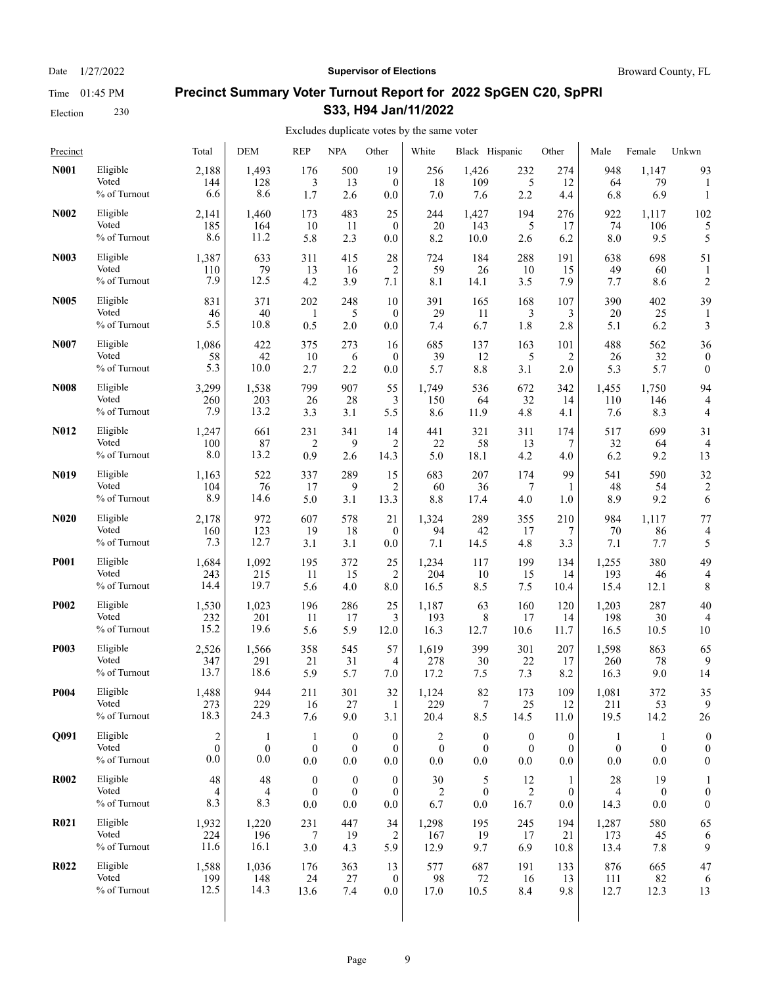Date  $1/27/2022$  **Supervisor of Elections** Broward County, FL

# **Precinct Summary Voter Turnout Report for 2022 SpGEN C20, SpPRI S33, H94 Jan/11/2022**

| Precinct          |                                   | Total               | DEM                 | <b>REP</b>                                  | <b>NPA</b>                          | Other                                   | White            | Black Hispanic       |                  | Other                        | Male             | Female                        | Unkwn                                |
|-------------------|-----------------------------------|---------------------|---------------------|---------------------------------------------|-------------------------------------|-----------------------------------------|------------------|----------------------|------------------|------------------------------|------------------|-------------------------------|--------------------------------------|
| N001              | Eligible<br>Voted<br>% of Turnout | 2,188<br>144<br>6.6 | 1,493<br>128<br>8.6 | 176<br>3<br>1.7                             | 500<br>13<br>2.6                    | 19<br>$\mathbf{0}$<br>0.0               | 256<br>18<br>7.0 | 1,426<br>109<br>7.6  | 232<br>5<br>2.2  | 274<br>12<br>4.4             | 948<br>64<br>6.8 | 1,147<br>79<br>6.9            | 93<br>$\mathbf{1}$                   |
| <b>N002</b>       | Eligible                          | 2,141               | 1,460               | 173                                         | 483                                 | 25                                      | 244              | 1,427                | 194              | 276                          | 922              | 1,117                         | 102                                  |
|                   | Voted                             | 185                 | 164                 | 10                                          | 11                                  | $\mathbf{0}$                            | 20               | 143                  | 5                | 17                           | 74               | 106                           | 5                                    |
|                   | % of Turnout                      | 8.6                 | 11.2                | 5.8                                         | 2.3                                 | 0.0                                     | 8.2              | 10.0                 | 2.6              | 6.2                          | 8.0              | 9.5                           | 5                                    |
| N <sub>0</sub> 03 | Eligible                          | 1,387               | 633                 | 311                                         | 415                                 | 28                                      | 724              | 184                  | 288              | 191                          | 638              | 698                           | 51                                   |
|                   | Voted                             | 110                 | 79                  | 13                                          | 16                                  | $\overline{c}$                          | 59               | 26                   | 10               | 15                           | 49               | 60                            | $\mathbf{1}$                         |
|                   | % of Turnout                      | 7.9                 | 12.5                | 4.2                                         | 3.9                                 | 7.1                                     | 8.1              | 14.1                 | 3.5              | 7.9                          | 7.7              | 8.6                           | $\overline{c}$                       |
| <b>N005</b>       | Eligible                          | 831                 | 371                 | 202                                         | 248                                 | 10                                      | 391              | 165                  | 168              | 107                          | 390              | 402                           | 39                                   |
|                   | Voted                             | 46                  | 40                  | 1                                           | 5                                   | $\mathbf{0}$                            | 29               | 11                   | 3                | 3                            | 20               | 25                            | 1                                    |
|                   | % of Turnout                      | 5.5                 | 10.8                | 0.5                                         | 2.0                                 | 0.0                                     | 7.4              | 6.7                  | 1.8              | 2.8                          | 5.1              | 6.2                           | 3                                    |
| N007              | Eligible                          | 1,086               | 422                 | 375                                         | 273                                 | 16                                      | 685              | 137                  | 163              | 101                          | 488              | 562                           | 36                                   |
|                   | Voted                             | 58                  | 42                  | 10                                          | 6                                   | $\mathbf{0}$                            | 39               | 12                   | 5                | 2                            | 26               | 32                            | $\boldsymbol{0}$                     |
|                   | % of Turnout                      | 5.3                 | 10.0                | 2.7                                         | 2.2                                 | 0.0                                     | 5.7              | 8.8                  | 3.1              | 2.0                          | 5.3              | 5.7                           | $\boldsymbol{0}$                     |
| <b>N008</b>       | Eligible                          | 3,299               | 1,538               | 799                                         | 907                                 | 55                                      | 1,749            | 536                  | 672              | 342                          | 1,455            | 1.750                         | 94                                   |
|                   | Voted                             | 260                 | 203                 | 26                                          | 28                                  | 3                                       | 150              | 64                   | 32               | 14                           | 110              | 146                           | 4                                    |
|                   | % of Turnout                      | 7.9                 | 13.2                | 3.3                                         | 3.1                                 | 5.5                                     | 8.6              | 11.9                 | 4.8              | 4.1                          | 7.6              | 8.3                           | 4                                    |
| <b>N012</b>       | Eligible                          | 1,247               | 661                 | 231                                         | 341                                 | 14                                      | 441              | 321                  | 311              | 174                          | 517              | 699                           | 31                                   |
|                   | Voted                             | 100                 | 87                  | $\overline{c}$                              | 9                                   | $\overline{2}$                          | 22               | 58                   | 13               | 7                            | 32               | 64                            | $\overline{4}$                       |
|                   | % of Turnout                      | 8.0                 | 13.2                | 0.9                                         | 2.6                                 | 14.3                                    | 5.0              | 18.1                 | 4.2              | 4.0                          | 6.2              | 9.2                           | 13                                   |
| N <sub>0</sub> 19 | Eligible                          | 1,163               | 522                 | 337                                         | 289                                 | 15                                      | 683              | 207                  | 174              | 99                           | 541              | 590                           | 32                                   |
|                   | Voted                             | 104                 | 76                  | 17                                          | 9                                   | $\overline{2}$                          | 60               | 36                   | 7                | 1                            | 48               | 54                            | $\overline{c}$                       |
|                   | % of Turnout                      | 8.9                 | 14.6                | 5.0                                         | 3.1                                 | 13.3                                    | 8.8              | 17.4                 | 4.0              | 1.0                          | 8.9              | 9.2                           | 6                                    |
| N <sub>0</sub> 20 | Eligible                          | 2,178               | 972                 | 607                                         | 578                                 | 21                                      | 1,324            | 289                  | 355              | 210                          | 984              | 1,117                         | 77                                   |
|                   | Voted                             | 160                 | 123                 | 19                                          | 18                                  | $\mathbf{0}$                            | 94               | 42                   | 17               | 7                            | 70               | 86                            | $\overline{4}$                       |
|                   | % of Turnout                      | 7.3                 | 12.7                | 3.1                                         | 3.1                                 | 0.0                                     | 7.1              | 14.5                 | 4.8              | 3.3                          | 7.1              | 7.7                           | 5                                    |
| <b>P001</b>       | Eligible                          | 1,684               | 1,092               | 195                                         | 372                                 | 25                                      | 1,234            | 117                  | 199              | 134                          | 1,255            | 380                           | 49                                   |
|                   | Voted                             | 243                 | 215                 | 11                                          | 15                                  | 2                                       | 204              | 10                   | 15               | 14                           | 193              | 46                            | 4                                    |
|                   | % of Turnout                      | 14.4                | 19.7                | 5.6                                         | 4.0                                 | 8.0                                     | 16.5             | 8.5                  | 7.5              | 10.4                         | 15.4             | 12.1                          | 8                                    |
| <b>P002</b>       | Eligible                          | 1,530               | 1,023               | 196                                         | 286                                 | 25                                      | 1,187            | 63                   | 160              | 120                          | 1,203            | 287                           | 40                                   |
|                   | Voted                             | 232                 | 201                 | 11                                          | 17                                  | 3                                       | 193              | 8                    | 17               | 14                           | 198              | 30                            | 4                                    |
|                   | % of Turnout                      | 15.2                | 19.6                | 5.6                                         | 5.9                                 | 12.0                                    | 16.3             | 12.7                 | 10.6             | 11.7                         | 16.5             | 10.5                          | 10                                   |
| <b>P003</b>       | Eligible                          | 2,526               | 1,566               | 358                                         | 545                                 | 57                                      | 1,619            | 399                  | 301              | 207                          | 1,598            | 863                           | 65                                   |
|                   | Voted                             | 347                 | 291                 | 21                                          | 31                                  | 4                                       | 278              | 30                   | 22               | 17                           | 260              | 78                            | 9                                    |
|                   | % of Turnout                      | 13.7                | 18.6                | 5.9                                         | 5.7                                 | 7.0                                     | 17.2             | 7.5                  | 7.3              | 8.2                          | 16.3             | 9.0                           | 14                                   |
| P004              | Eligible                          | 1,488               | 944                 | 211                                         | 301                                 | 32                                      | 1,124            | 82                   | 173              | 109                          | 1,081            | 372                           | 35                                   |
|                   | Voted                             | 273                 | 229                 | 16                                          | 27                                  | 1                                       | 229              | $\tau$               | 25               | 12                           | 211              | 53                            | 9                                    |
|                   | % of Turnout                      | 18.3                | 24.3                | 7.6                                         | 9.0                                 | 3.1                                     | 20.4             | 8.5                  | 14.5             | 11.0                         | 19.5             | 14.2                          | 26                                   |
| Q091              | Eligible                          | $\sqrt{2}$          | -1                  | -1                                          | $\boldsymbol{0}$                    | $\boldsymbol{0}$                        | 2                | $\boldsymbol{0}$     | $\boldsymbol{0}$ | $\boldsymbol{0}$             | $\mathbf{1}$     | $\mathbf{1}$                  | $\boldsymbol{0}$                     |
|                   | Voted                             | $\mathbf{0}$        | $\bf{0}$            | $\boldsymbol{0}$                            | $\mathbf{0}$                        | $\boldsymbol{0}$                        | $\bf{0}$         | $\mathbf{0}$         | $\boldsymbol{0}$ | $\mathbf{0}$                 | $\boldsymbol{0}$ | $\bf{0}$                      | $\boldsymbol{0}$                     |
|                   | % of Turnout                      | 0.0                 | 0.0                 | $0.0\,$                                     | 0.0                                 | 0.0                                     | 0.0              | 0.0                  | $0.0\,$          | 0.0                          | 0.0              | 0.0                           | $\boldsymbol{0}$                     |
| <b>R002</b>       | Eligible<br>Voted<br>% of Turnout | 48<br>4<br>8.3      | 48<br>4<br>8.3      | $\boldsymbol{0}$<br>$\boldsymbol{0}$<br>0.0 | $\bf{0}$<br>$\boldsymbol{0}$<br>0.0 | $\boldsymbol{0}$<br>$\mathbf{0}$<br>0.0 | 30<br>2<br>6.7   | 5<br>$\bf{0}$<br>0.0 | 12<br>2<br>16.7  | 1<br>$\boldsymbol{0}$<br>0.0 | 28<br>4<br>14.3  | 19<br>$\boldsymbol{0}$<br>0.0 | $\boldsymbol{0}$<br>$\boldsymbol{0}$ |
| <b>R021</b>       | Eligible                          | 1,932               | 1,220               | 231                                         | 447                                 | 34                                      | 1,298            | 195                  | 245              | 194                          | 1,287            | 580                           | 65                                   |
|                   | Voted                             | 224                 | 196                 | 7                                           | 19                                  | 2                                       | 167              | 19                   | 17               | 21                           | 173              | 45                            | 6                                    |
|                   | % of Turnout                      | 11.6                | 16.1                | 3.0                                         | 4.3                                 | 5.9                                     | 12.9             | 9.7                  | 6.9              | 10.8                         | 13.4             | 7.8                           | 9                                    |
| <b>R022</b>       | Eligible                          | 1,588               | 1,036               | 176                                         | 363                                 | 13                                      | 577              | 687                  | 191              | 133                          | 876              | 665                           | 47                                   |
|                   | Voted                             | 199                 | 148                 | 24                                          | 27                                  | $\boldsymbol{0}$                        | 98               | 72                   | 16               | 13                           | 111              | 82                            | 6                                    |
|                   | % of Turnout                      | 12.5                | 14.3                | 13.6                                        | 7.4                                 | $0.0\,$                                 | 17.0             | 10.5                 | 8.4              | 9.8                          | 12.7             | 12.3                          | 13                                   |
|                   |                                   |                     |                     |                                             |                                     |                                         |                  |                      |                  |                              |                  |                               |                                      |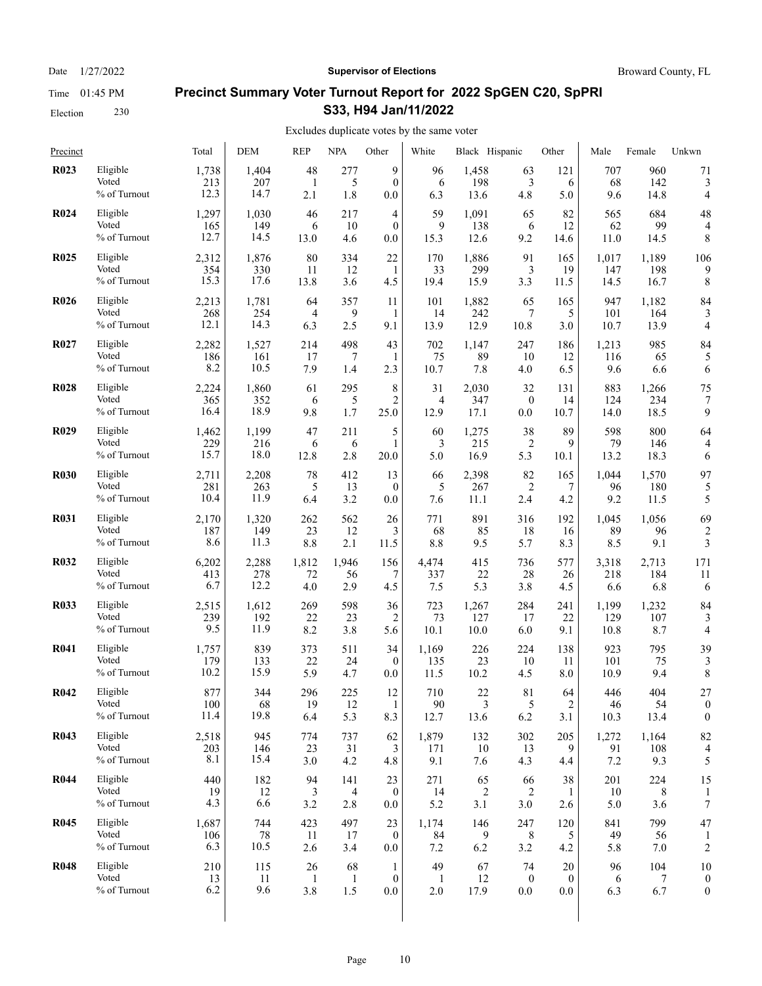Election 230

### Date  $1/27/2022$  **Supervisor of Elections** Broward County, FL

# **Precinct Summary Voter Turnout Report for 2022 SpGEN C20, SpPRI S33, H94 Jan/11/2022**

| Precinct    |                                   | Total               | <b>DEM</b>        | <b>REP</b>       | <b>NPA</b>       | Other                         | White              | Black Hispanic  |                  | Other           | Male             | Female           | Unkwn                    |
|-------------|-----------------------------------|---------------------|-------------------|------------------|------------------|-------------------------------|--------------------|-----------------|------------------|-----------------|------------------|------------------|--------------------------|
| <b>R023</b> | Eligible                          | 1,738               | 1,404             | 48               | 277              | 9                             | 96                 | 1,458           | 63               | 121             | 707              | 960              | 71                       |
|             | Voted                             | 213                 | 207               | 1                | 5                | $\theta$                      | 6                  | 198             | 3                | 6               | 68               | 142              | 3                        |
|             | % of Turnout                      | 12.3                | 14.7              | 2.1              | 1.8              | 0.0                           | 6.3                | 13.6            | 4.8              | 5.0             | 9.6              | 14.8             | 4                        |
| <b>R024</b> | Eligible                          | 1,297               | 1,030             | 46               | 217              | 4                             | 59                 | 1,091           | 65               | 82              | 565              | 684              | 48                       |
|             | Voted                             | 165                 | 149               | 6                | 10               | $\theta$                      | 9                  | 138             | 6                | 12              | 62               | 99               | $\overline{4}$           |
|             | % of Turnout                      | 12.7                | 14.5              | 13.0             | 4.6              | 0.0                           | 15.3               | 12.6            | 9.2              | 14.6            | 11.0             | 14.5             | 8                        |
| <b>R025</b> | Eligible                          | 2,312               | 1,876             | 80               | 334              | 22                            | 170                | 1,886           | 91               | 165             | 1,017            | 1,189            | 106                      |
|             | Voted                             | 354                 | 330               | 11               | 12               | 1                             | 33                 | 299             | 3                | 19              | 147              | 198              | 9                        |
|             | % of Turnout                      | 15.3                | 17.6              | 13.8             | 3.6              | 4.5                           | 19.4               | 15.9            | 3.3              | 11.5            | 14.5             | 16.7             | 8                        |
| <b>R026</b> | Eligible                          | 2,213               | 1,781             | 64               | 357              | 11                            | 101                | 1,882           | 65               | 165             | 947              | 1,182            | 84                       |
|             | Voted                             | 268                 | 254               | $\overline{4}$   | 9                | 1                             | 14                 | 242             | 7                | 5               | 101              | 164              | 3                        |
|             | % of Turnout                      | 12.1                | 14.3              | 6.3              | 2.5              | 9.1                           | 13.9               | 12.9            | 10.8             | 3.0             | 10.7             | 13.9             | $\overline{4}$           |
| <b>R027</b> | Eligible                          | 2,282               | 1,527             | 214              | 498              | 43                            | 702                | 1,147           | 247              | 186             | 1,213            | 985              | 84                       |
|             | Voted                             | 186                 | 161               | 17               | 7                | 1                             | 75                 | 89              | 10               | 12              | 116              | 65               | 5                        |
|             | % of Turnout                      | 8.2                 | 10.5              | 7.9              | 1.4              | 2.3                           | 10.7               | 7.8             | 4.0              | 6.5             | 9.6              | 6.6              | 6                        |
| <b>R028</b> | Eligible                          | 2,224               | 1,860             | 61               | 295              | 8                             | 31                 | 2,030           | 32               | 131             | 883              | 1,266            | 75                       |
|             | Voted                             | 365                 | 352               | 6                | 5                | $\overline{c}$                | $\overline{4}$     | 347             | $\boldsymbol{0}$ | 14              | 124              | 234              | 7                        |
|             | % of Turnout                      | 16.4                | 18.9              | 9.8              | 1.7              | 25.0                          | 12.9               | 17.1            | 0.0              | 10.7            | 14.0             | 18.5             | 9                        |
| <b>R029</b> | Eligible                          | 1,462               | 1,199             | 47               | 211              | 5                             | 60                 | 1,275           | 38               | 89              | 598              | 800              | 64                       |
|             | Voted                             | 229                 | 216               | 6                | 6                | 1                             | 3                  | 215             | $\overline{c}$   | 9               | 79               | 146              | 4                        |
|             | % of Turnout                      | 15.7                | 18.0              | 12.8             | 2.8              | 20.0                          | 5.0                | 16.9            | 5.3              | 10.1            | 13.2             | 18.3             | 6                        |
| <b>R030</b> | Eligible                          | 2,711               | 2,208             | 78               | 412              | 13                            | 66                 | 2,398           | 82               | 165             | 1,044            | 1,570            | 97                       |
|             | Voted                             | 281                 | 263               | 5                | 13               | $\mathbf{0}$                  | 5                  | 267             | $\overline{c}$   | 7               | 96               | 180              | 5                        |
|             | % of Turnout                      | 10.4                | 11.9              | 6.4              | 3.2              | 0.0                           | 7.6                | 11.1            | 2.4              | 4.2             | 9.2              | 11.5             | 5                        |
| <b>R031</b> | Eligible                          | 2,170               | 1,320             | 262              | 562              | 26                            | 771                | 891             | 316              | 192             | 1,045            | 1,056            | 69                       |
|             | Voted                             | 187                 | 149               | 23               | 12               | 3                             | 68                 | 85              | 18               | 16              | 89               | 96               | $\overline{\mathbf{c}}$  |
|             | % of Turnout                      | 8.6                 | 11.3              | 8.8              | 2.1              | 11.5                          | 8.8                | 9.5             | 5.7              | 8.3             | 8.5              | 9.1              | 3                        |
| <b>R032</b> | Eligible                          | 6,202               | 2,288             | 1,812            | 1,946            | 156                           | 4,474              | 415             | 736              | 577             | 3,318            | 2,713            | 171                      |
|             | Voted                             | 413                 | 278               | 72               | 56               | 7                             | 337                | 22              | 28               | 26              | 218              | 184              | 11                       |
|             | % of Turnout                      | 6.7                 | 12.2              | 4.0              | 2.9              | 4.5                           | 7.5                | 5.3             | 3.8              | 4.5             | 6.6              | 6.8              | 6                        |
| <b>R033</b> | Eligible                          | 2,515               | 1,612             | 269              | 598              | 36                            | 723                | 1,267           | 284              | 241             | 1,199            | 1,232            | 84                       |
|             | Voted                             | 239                 | 192               | 22               | 23               | 2                             | 73                 | 127             | 17               | 22              | 129              | 107              | 3                        |
|             | % of Turnout                      | 9.5                 | 11.9              | 8.2              | 3.8              | 5.6                           | 10.1               | 10.0            | 6.0              | 9.1             | 10.8             | 8.7              | 4                        |
| <b>R041</b> | Eligible                          | 1,757               | 839               | 373              | 511              | 34                            | 1,169              | 226             | 224              | 138             | 923              | 795              | 39                       |
|             | Voted                             | 179                 | 133               | 22               | 24               | $\mathbf{0}$                  | 135                | 23              | 10               | 11              | 101              | 75               | 3                        |
|             | % of Turnout                      | 10.2                | 15.9              | 5.9              | 4.7              | 0.0                           | 11.5               | 10.2            | 4.5              | 8.0             | 10.9             | 9.4              | 8                        |
| <b>R042</b> | Eligible                          | 877                 | 344               | 296              | 225              | 12                            | 710                | 22              | 81               | 64              | 446              | 404              | 27                       |
|             | Voted                             | 100                 | 68                | 19               | 12               | $\mathbf{1}$                  | $90\,$             | $\mathfrak{Z}$  | $\mathfrak{S}$   | $\overline{c}$  | 46               | 54               | $\boldsymbol{0}$         |
|             | % of Turnout                      | 11.4                | 19.8              | 6.4              | 5.3              | 8.3                           | 12.7               | 13.6            | 6.2              | 3.1             | 10.3             | 13.4             | $\boldsymbol{0}$         |
| <b>R043</b> | Eligible                          | 2,518               | 945               | 774              | 737              | 62                            | 1,879              | 132             | 302              | 205             | 1,272            | 1,164            | 82                       |
|             | Voted                             | 203                 | 146               | 23               | 31               | 3                             | 171                | 10              | 13               | 9               | 91               | 108              | $\overline{\mathcal{A}}$ |
|             | % of Turnout                      | 8.1                 | 15.4              | 3.0              | 4.2              | 4.8                           | 9.1                | 7.6             | 4.3              | 4.4             | $7.2\,$          | 9.3              | 5                        |
| <b>R044</b> | Eligible                          | 440                 | 182               | 94               | 141              | 23                            | 271                | 65              | 66               | 38              | 201              | 224              | 15                       |
|             | Voted                             | 19                  | 12                | 3                | 4                | $\boldsymbol{0}$              | 14                 | 2               | 2                | 1               | 10               | 8                | $\mathbf{1}$             |
|             | % of Turnout                      | 4.3                 | 6.6               | 3.2              | 2.8              | 0.0                           | 5.2                | 3.1             | 3.0              | 2.6             | 5.0              | 3.6              | $\boldsymbol{7}$         |
| <b>R045</b> | Eligible<br>Voted<br>% of Turnout | 1,687<br>106<br>6.3 | 744<br>78<br>10.5 | 423<br>11<br>2.6 | 497<br>17<br>3.4 | 23<br>$\boldsymbol{0}$<br>0.0 | 1,174<br>84<br>7.2 | 146<br>9<br>6.2 | 247<br>8<br>3.2  | 120<br>5<br>4.2 | 841<br>49<br>5.8 | 799<br>56<br>7.0 | 47<br>$\overline{c}$     |
| <b>R048</b> | Eligible                          | 210                 | 115               | 26               | 68               | $\mathbf{1}$                  | 49                 | 67              | 74               | 20              | 96               | 104              | 10                       |
|             | Voted                             | 13                  | 11                | $\mathbf{1}$     | $\mathbf{1}$     | $\mathbf{0}$                  | $\mathbf{1}$       | 12              | $\boldsymbol{0}$ | $\mathbf{0}$    | 6                | 7                | $\boldsymbol{0}$         |
|             | % of Turnout                      | 6.2                 | 9.6               | 3.8              | 1.5              | 0.0                           | 2.0                | 17.9            | $0.0\,$          | 0.0             | 6.3              | 6.7              | $\boldsymbol{0}$         |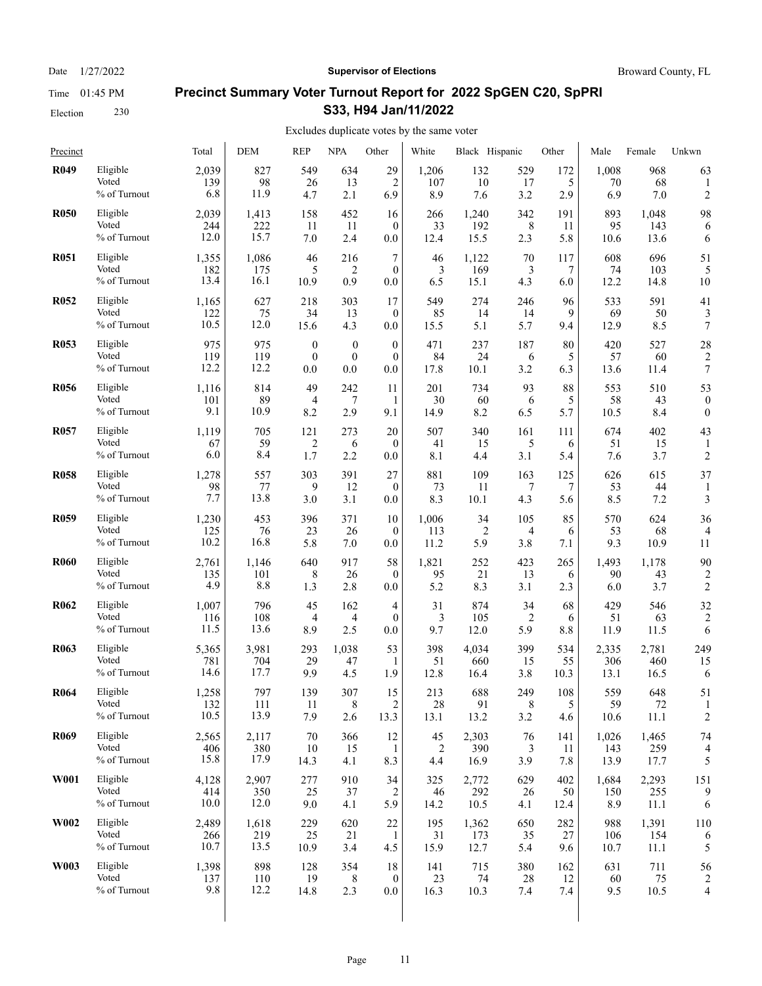Election 230

### Date  $1/27/2022$  **Supervisor of Elections** Broward County, FL

# **Precinct Summary Voter Turnout Report for 2022 SpGEN C20, SpPRI S33, H94 Jan/11/2022**

| Precinct         |              | Total | <b>DEM</b> | <b>REP</b>       | <b>NPA</b>       | Other            | White  | Black Hispanic |         | Other | Male  | Female | Unkwn                    |
|------------------|--------------|-------|------------|------------------|------------------|------------------|--------|----------------|---------|-------|-------|--------|--------------------------|
| <b>R049</b>      | Eligible     | 2,039 | 827        | 549              | 634              | 29               | 1,206  | 132            | 529     | 172   | 1,008 | 968    | 63                       |
|                  | Voted        | 139   | 98         | 26               | 13               | $\overline{2}$   | 107    | 10             | 17      | 5     | 70    | 68     | 1                        |
|                  | % of Turnout | 6.8   | 11.9       | 4.7              | 2.1              | 6.9              | 8.9    | 7.6            | 3.2     | 2.9   | 6.9   | 7.0    | $\overline{c}$           |
| <b>R050</b>      | Eligible     | 2,039 | 1,413      | 158              | 452              | 16               | 266    | 1,240          | 342     | 191   | 893   | 1,048  | 98                       |
|                  | Voted        | 244   | 222        | 11               | 11               | $\theta$         | 33     | 192            | 8       | 11    | 95    | 143    | 6                        |
|                  | % of Turnout | 12.0  | 15.7       | 7.0              | 2.4              | 0.0              | 12.4   | 15.5           | 2.3     | 5.8   | 10.6  | 13.6   | 6                        |
| <b>R051</b>      | Eligible     | 1,355 | 1,086      | 46               | 216              | 7                | 46     | 1,122          | 70      | 117   | 608   | 696    | 51                       |
|                  | Voted        | 182   | 175        | 5                | $\overline{2}$   | $\theta$         | 3      | 169            | 3       | 7     | 74    | 103    | 5                        |
|                  | % of Turnout | 13.4  | 16.1       | 10.9             | 0.9              | 0.0              | 6.5    | 15.1           | 4.3     | 6.0   | 12.2  | 14.8   | 10                       |
| <b>R052</b>      | Eligible     | 1,165 | 627        | 218              | 303              | 17               | 549    | 274            | 246     | 96    | 533   | 591    | 41                       |
|                  | Voted        | 122   | 75         | 34               | 13               | $\theta$         | 85     | 14             | 14      | 9     | 69    | 50     | 3                        |
|                  | % of Turnout | 10.5  | 12.0       | 15.6             | 4.3              | 0.0              | 15.5   | 5.1            | 5.7     | 9.4   | 12.9  | 8.5    | 7                        |
| <b>R053</b>      | Eligible     | 975   | 975        | $\boldsymbol{0}$ | $\boldsymbol{0}$ | $\overline{0}$   | 471    | 237            | 187     | 80    | 420   | 527    | 28                       |
|                  | Voted        | 119   | 119        | $\mathbf{0}$     | $\boldsymbol{0}$ | $\mathbf{0}$     | 84     | 24             | 6       | 5     | 57    | 60     | $\overline{2}$           |
|                  | % of Turnout | 12.2  | 12.2       | 0.0              | 0.0              | 0.0              | 17.8   | 10.1           | 3.2     | 6.3   | 13.6  | 11.4   | 7                        |
| <b>R056</b>      | Eligible     | 1,116 | 814        | 49               | 242              | 11               | 201    | 734            | 93      | 88    | 553   | 510    | 53                       |
|                  | Voted        | 101   | 89         | 4                | 7                | 1                | 30     | 60             | 6       | 5     | 58    | 43     | $\theta$                 |
|                  | % of Turnout | 9.1   | 10.9       | 8.2              | 2.9              | 9.1              | 14.9   | 8.2            | 6.5     | 5.7   | 10.5  | 8.4    | $\boldsymbol{0}$         |
| <b>R057</b>      | Eligible     | 1,119 | 705        | 121              | 273              | 20               | 507    | 340            | 161     | 111   | 674   | 402    | 43                       |
|                  | Voted        | 67    | 59         | $\overline{2}$   | 6                | $\theta$         | 41     | 15             | 5       | 6     | 51    | 15     | 1                        |
|                  | % of Turnout | 6.0   | 8.4        | 1.7              | 2.2              | 0.0              | 8.1    | 4.4            | 3.1     | 5.4   | 7.6   | 3.7    | $\overline{c}$           |
| <b>R058</b>      | Eligible     | 1,278 | 557        | 303              | 391              | 27               | 881    | 109            | 163     | 125   | 626   | 615    | 37                       |
|                  | Voted        | 98    | 77         | 9                | 12               | $\mathbf{0}$     | 73     | 11             | 7       | 7     | 53    | 44     | 1                        |
|                  | % of Turnout | 7.7   | 13.8       | 3.0              | 3.1              | 0.0              | 8.3    | 10.1           | 4.3     | 5.6   | 8.5   | 7.2    | 3                        |
| <b>R059</b>      | Eligible     | 1,230 | 453        | 396              | 371              | 10               | 1,006  | 34             | 105     | 85    | 570   | 624    | 36                       |
|                  | Voted        | 125   | 76         | 23               | 26               | $\mathbf{0}$     | 113    | $\overline{2}$ | 4       | 6     | 53    | 68     | 4                        |
|                  | % of Turnout | 10.2  | 16.8       | 5.8              | 7.0              | 0.0              | 11.2   | 5.9            | 3.8     | 7.1   | 9.3   | 10.9   | 11                       |
| <b>R060</b>      | Eligible     | 2,761 | 1,146      | 640              | 917              | 58               | 1,821  | 252            | 423     | 265   | 1,493 | 1,178  | 90                       |
|                  | Voted        | 135   | 101        | 8                | 26               | $\mathbf{0}$     | 95     | 21             | 13      | 6     | 90    | 43     | 2                        |
|                  | % of Turnout | 4.9   | 8.8        | 1.3              | 2.8              | 0.0              | 5.2    | 8.3            | 3.1     | 2.3   | 6.0   | 3.7    | $\overline{c}$           |
| <b>R062</b>      | Eligible     | 1,007 | 796        | 45               | 162              | $\overline{4}$   | 31     | 874            | 34      | 68    | 429   | 546    | 32                       |
|                  | Voted        | 116   | 108        | 4                | 4                | $\mathbf{0}$     | 3      | 105            | 2       | 6     | 51    | 63     | $\overline{c}$           |
|                  | % of Turnout | 11.5  | 13.6       | 8.9              | 2.5              | 0.0              | 9.7    | 12.0           | 5.9     | 8.8   | 11.9  | 11.5   | 6                        |
| R <sub>063</sub> | Eligible     | 5,365 | 3,981      | 293              | 1,038            | 53               | 398    | 4,034          | 399     | 534   | 2,335 | 2,781  | 249                      |
|                  | Voted        | 781   | 704        | 29               | 47               | 1                | 51     | 660            | 15      | 55    | 306   | 460    | 15                       |
|                  | % of Turnout | 14.6  | 17.7       | 9.9              | 4.5              | 1.9              | 12.8   | 16.4           | 3.8     | 10.3  | 13.1  | 16.5   | 6                        |
| <b>R064</b>      | Eligible     | 1,258 | 797        | 139              | 307              | 15               | 213    | 688            | 249     | 108   | 559   | 648    | 51                       |
|                  | Voted        | 132   | 111        | 11               | $\,8\,$          | $\boldsymbol{2}$ | $28\,$ | 91             | $\,8\,$ | 5     | 59    | 72     | 1                        |
|                  | % of Turnout | 10.5  | 13.9       | 7.9              | 2.6              | 13.3             | 13.1   | 13.2           | 3.2     | 4.6   | 10.6  | 11.1   | 2                        |
| <b>R069</b>      | Eligible     | 2,565 | 2,117      | 70               | 366              | 12               | 45     | 2,303          | 76      | 141   | 1,026 | 1,465  | 74                       |
|                  | Voted        | 406   | 380        | 10               | 15               | $\mathbf{1}$     | 2      | 390            | 3       | 11    | 143   | 259    | 4                        |
|                  | % of Turnout | 15.8  | 17.9       | 14.3             | 4.1              | 8.3              | 4.4    | 16.9           | 3.9     | 7.8   | 13.9  | 17.7   | 5                        |
| <b>W001</b>      | Eligible     | 4,128 | 2,907      | 277              | 910              | 34               | 325    | 2,772          | 629     | 402   | 1,684 | 2,293  | 151                      |
|                  | Voted        | 414   | 350        | 25               | 37               | $\overline{c}$   | 46     | 292            | 26      | 50    | 150   | 255    | 9                        |
|                  | % of Turnout | 10.0  | 12.0       | 9.0              | 4.1              | 5.9              | 14.2   | 10.5           | 4.1     | 12.4  | 8.9   | 11.1   | 6                        |
| <b>W002</b>      | Eligible     | 2,489 | 1,618      | 229              | 620              | 22               | 195    | 1,362          | 650     | 282   | 988   | 1,391  | 110                      |
|                  | Voted        | 266   | 219        | 25               | 21               | -1               | 31     | 173            | 35      | 27    | 106   | 154    | 6                        |
|                  | % of Turnout | 10.7  | 13.5       | 10.9             | 3.4              | 4.5              | 15.9   | 12.7           | 5.4     | 9.6   | 10.7  | 11.1   | 5                        |
| W003             | Eligible     | 1,398 | 898        | 128              | 354              | 18               | 141    | 715            | 380     | 162   | 631   | 711    | 56                       |
|                  | Voted        | 137   | 110        | 19               | 8                | $\mathbf{0}$     | 23     | 74             | 28      | 12    | 60    | 75     | $\overline{2}$           |
|                  | % of Turnout | 9.8   | 12.2       | 14.8             | 2.3              | 0.0              | 16.3   | 10.3           | 7.4     | 7.4   | 9.5   | 10.5   | $\overline{\mathcal{L}}$ |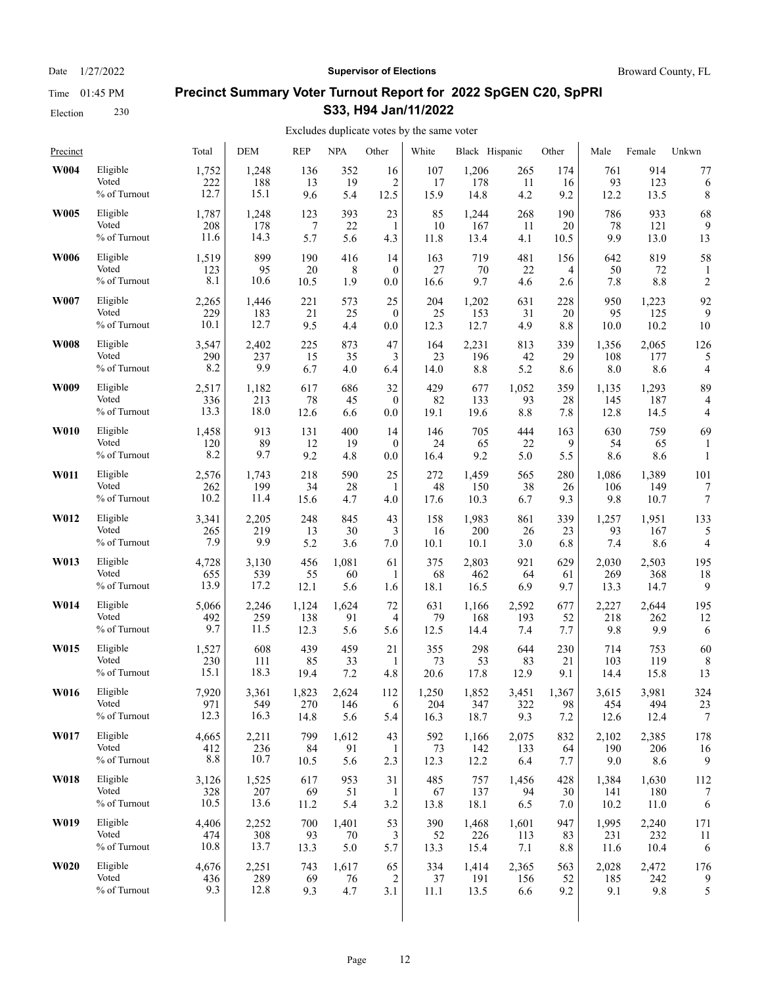Election 230

### Date  $1/27/2022$  **Supervisor of Elections** Broward County, FL

# **Precinct Summary Voter Turnout Report for 2022 SpGEN C20, SpPRI S33, H94 Jan/11/2022**

| Precinct    |              | Total | <b>DEM</b> | <b>REP</b> | <b>NPA</b> | Other            | White | Black Hispanic |       | Other | Male  | Female | Unkwn          |
|-------------|--------------|-------|------------|------------|------------|------------------|-------|----------------|-------|-------|-------|--------|----------------|
| W004        | Eligible     | 1,752 | 1,248      | 136        | 352        | 16               | 107   | 1,206          | 265   | 174   | 761   | 914    | 77             |
|             | Voted        | 222   | 188        | 13         | 19         | $\overline{2}$   | 17    | 178            | 11    | 16    | 93    | 123    | 6              |
|             | % of Turnout | 12.7  | 15.1       | 9.6        | 5.4        | 12.5             | 15.9  | 14.8           | 4.2   | 9.2   | 12.2  | 13.5   | 8              |
| <b>W005</b> | Eligible     | 1,787 | 1,248      | 123        | 393        | 23               | 85    | 1,244          | 268   | 190   | 786   | 933    | 68             |
|             | Voted        | 208   | 178        | 7          | 22         | 1                | 10    | 167            | 11    | 20    | 78    | 121    | 9              |
|             | % of Turnout | 11.6  | 14.3       | 5.7        | 5.6        | 4.3              | 11.8  | 13.4           | 4.1   | 10.5  | 9.9   | 13.0   | 13             |
| <b>W006</b> | Eligible     | 1,519 | 899        | 190        | 416        | 14               | 163   | 719            | 481   | 156   | 642   | 819    | 58             |
|             | Voted        | 123   | 95         | 20         | 8          | $\mathbf{0}$     | 27    | 70             | 22    | 4     | 50    | 72     | 1              |
|             | % of Turnout | 8.1   | 10.6       | 10.5       | 1.9        | 0.0              | 16.6  | 9.7            | 4.6   | 2.6   | 7.8   | 8.8    | $\overline{c}$ |
| W007        | Eligible     | 2,265 | 1,446      | 221        | 573        | 25               | 204   | 1,202          | 631   | 228   | 950   | 1,223  | 92             |
|             | Voted        | 229   | 183        | 21         | 25         | $\mathbf{0}$     | 25    | 153            | 31    | 20    | 95    | 125    | 9              |
|             | % of Turnout | 10.1  | 12.7       | 9.5        | 4.4        | 0.0              | 12.3  | 12.7           | 4.9   | 8.8   | 10.0  | 10.2   | 10             |
| <b>W008</b> | Eligible     | 3,547 | 2,402      | 225        | 873        | 47               | 164   | 2,231          | 813   | 339   | 1,356 | 2,065  | 126            |
|             | Voted        | 290   | 237        | 15         | 35         | 3                | 23    | 196            | 42    | 29    | 108   | 177    | 5              |
|             | % of Turnout | 8.2   | 9.9        | 6.7        | 4.0        | 6.4              | 14.0  | 8.8            | 5.2   | 8.6   | 8.0   | 8.6    | 4              |
| W009        | Eligible     | 2,517 | 1,182      | 617        | 686        | 32               | 429   | 677            | 1,052 | 359   | 1,135 | 1,293  | 89             |
|             | Voted        | 336   | 213        | 78         | 45         | $\boldsymbol{0}$ | 82    | 133            | 93    | 28    | 145   | 187    | $\overline{4}$ |
|             | % of Turnout | 13.3  | 18.0       | 12.6       | 6.6        | 0.0              | 19.1  | 19.6           | 8.8   | 7.8   | 12.8  | 14.5   | 4              |
| <b>W010</b> | Eligible     | 1,458 | 913        | 131        | 400        | 14               | 146   | 705            | 444   | 163   | 630   | 759    | 69             |
|             | Voted        | 120   | 89         | 12         | 19         | $\mathbf{0}$     | 24    | 65             | 22    | 9     | 54    | 65     | 1              |
|             | % of Turnout | 8.2   | 9.7        | 9.2        | 4.8        | 0.0              | 16.4  | 9.2            | 5.0   | 5.5   | 8.6   | 8.6    | $\mathbf{1}$   |
| W011        | Eligible     | 2,576 | 1,743      | 218        | 590        | 25               | 272   | 1,459          | 565   | 280   | 1,086 | 1,389  | 101            |
|             | Voted        | 262   | 199        | 34         | 28         | 1                | 48    | 150            | 38    | 26    | 106   | 149    | 7              |
|             | % of Turnout | 10.2  | 11.4       | 15.6       | 4.7        | 4.0              | 17.6  | 10.3           | 6.7   | 9.3   | 9.8   | 10.7   | 7              |
| W012        | Eligible     | 3,341 | 2,205      | 248        | 845        | 43               | 158   | 1,983          | 861   | 339   | 1,257 | 1,951  | 133            |
|             | Voted        | 265   | 219        | 13         | 30         | 3                | 16    | 200            | 26    | 23    | 93    | 167    | 5              |
|             | % of Turnout | 7.9   | 9.9        | 5.2        | 3.6        | 7.0              | 10.1  | 10.1           | 3.0   | 6.8   | 7.4   | 8.6    | 4              |
| W013        | Eligible     | 4,728 | 3,130      | 456        | 1,081      | 61               | 375   | 2,803          | 921   | 629   | 2,030 | 2,503  | 195            |
|             | Voted        | 655   | 539        | 55         | 60         | 1                | 68    | 462            | 64    | 61    | 269   | 368    | 18             |
|             | % of Turnout | 13.9  | 17.2       | 12.1       | 5.6        | 1.6              | 18.1  | 16.5           | 6.9   | 9.7   | 13.3  | 14.7   | 9              |
| W014        | Eligible     | 5,066 | 2,246      | 1,124      | 1,624      | 72               | 631   | 1,166          | 2,592 | 677   | 2,227 | 2,644  | 195            |
|             | Voted        | 492   | 259        | 138        | 91         | 4                | 79    | 168            | 193   | 52    | 218   | 262    | 12             |
|             | % of Turnout | 9.7   | 11.5       | 12.3       | 5.6        | 5.6              | 12.5  | 14.4           | 7.4   | 7.7   | 9.8   | 9.9    | 6              |
| W015        | Eligible     | 1,527 | 608        | 439        | 459        | 21               | 355   | 298            | 644   | 230   | 714   | 753    | 60             |
|             | Voted        | 230   | 111        | 85         | 33         | $\mathbf{1}$     | 73    | 53             | 83    | 21    | 103   | 119    | 8              |
|             | % of Turnout | 15.1  | 18.3       | 19.4       | 7.2        | 4.8              | 20.6  | 17.8           | 12.9  | 9.1   | 14.4  | 15.8   | 13             |
| W016        | Eligible     | 7,920 | 3,361      | 1,823      | 2.624      | 112              | 1,250 | 1,852          | 3,451 | 1,367 | 3,615 | 3,981  | 324            |
|             | Voted        | 971   | 549        | 270        | 146        | 6                | 204   | 347            | 322   | 98    | 454   | 494    | 23             |
|             | % of Turnout | 12.3  | 16.3       | 14.8       | 5.6        | 5.4              | 16.3  | 18.7           | 9.3   | 7.2   | 12.6  | 12.4   | 7              |
| W017        | Eligible     | 4,665 | 2,211      | 799        | 1,612      | 43               | 592   | 1,166          | 2,075 | 832   | 2,102 | 2,385  | 178            |
|             | Voted        | 412   | 236        | 84         | 91         | 1                | 73    | 142            | 133   | 64    | 190   | 206    | 16             |
|             | % of Turnout | 8.8   | 10.7       | 10.5       | 5.6        | 2.3              | 12.3  | 12.2           | 6.4   | 7.7   | 9.0   | 8.6    | 9              |
| W018        | Eligible     | 3,126 | 1,525      | 617        | 953        | 31               | 485   | 757            | 1,456 | 428   | 1,384 | 1,630  | 112            |
|             | Voted        | 328   | 207        | 69         | 51         | 1                | 67    | 137            | 94    | 30    | 141   | 180    | 7              |
|             | % of Turnout | 10.5  | 13.6       | 11.2       | 5.4        | 3.2              | 13.8  | 18.1           | 6.5   | 7.0   | 10.2  | 11.0   | 6              |
| W019        | Eligible     | 4,406 | 2,252      | 700        | 1,401      | 53               | 390   | 1,468          | 1,601 | 947   | 1,995 | 2,240  | 171            |
|             | Voted        | 474   | 308        | 93         | 70         | 3                | 52    | 226            | 113   | 83    | 231   | 232    | 11             |
|             | % of Turnout | 10.8  | 13.7       | 13.3       | 5.0        | 5.7              | 13.3  | 15.4           | 7.1   | 8.8   | 11.6  | 10.4   | 6              |
| <b>W020</b> | Eligible     | 4,676 | 2,251      | 743        | 1,617      | 65               | 334   | 1,414          | 2,365 | 563   | 2,028 | 2,472  | 176            |
|             | Voted        | 436   | 289        | 69         | 76         | 2                | 37    | 191            | 156   | 52    | 185   | 242    | 9              |
|             | % of Turnout | 9.3   | 12.8       | 9.3        | 4.7        | 3.1              | 11.1  | 13.5           | 6.6   | 9.2   | 9.1   | 9.8    | 5              |